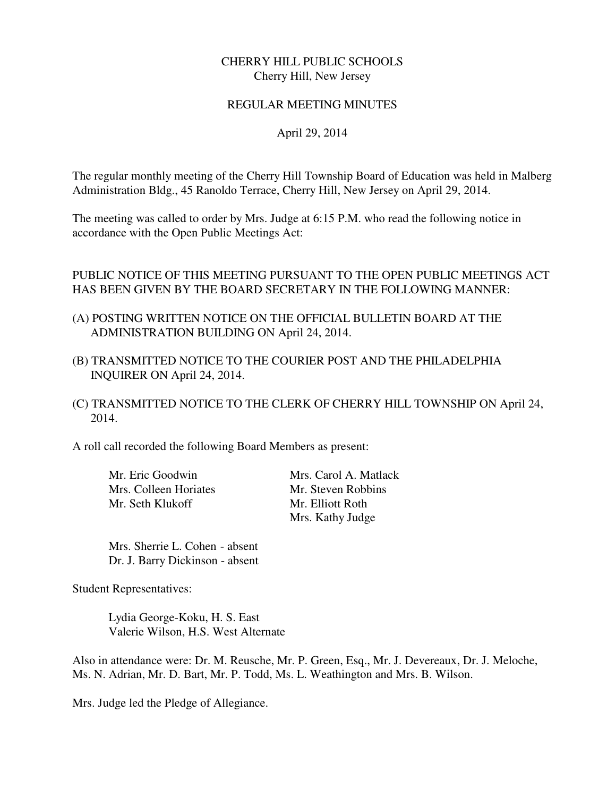### CHERRY HILL PUBLIC SCHOOLS Cherry Hill, New Jersey

#### REGULAR MEETING MINUTES

#### April 29, 2014

 The regular monthly meeting of the Cherry Hill Township Board of Education was held in Malberg Administration Bldg., 45 Ranoldo Terrace, Cherry Hill, New Jersey on April 29, 2014.

 The meeting was called to order by Mrs. Judge at 6:15 P.M. who read the following notice in accordance with the Open Public Meetings Act:

# PUBLIC NOTICE OF THIS MEETING PURSUANT TO THE OPEN PUBLIC MEETINGS ACT HAS BEEN GIVEN BY THE BOARD SECRETARY IN THE FOLLOWING MANNER:

- (A) POSTING WRITTEN NOTICE ON THE OFFICIAL BULLETIN BOARD AT THE ADMINISTRATION BUILDING ON April 24, 2014.
- (B) TRANSMITTED NOTICE TO THE COURIER POST AND THE PHILADELPHIA INQUIRER ON April 24, 2014.
- (C) TRANSMITTED NOTICE TO THE CLERK OF CHERRY HILL TOWNSHIP ON April 24, 2014.

A roll call recorded the following Board Members as present:

| Mr. Eric Goodwin      |
|-----------------------|
| Mrs. Colleen Horiates |
| Mr. Seth Klukoff      |

Mrs. Carol A. Matlack s Mr. Steven Robbins. Mr. Elliott Roth Mrs. Kathy Judge

Mrs. Sherrie L. Cohen - absent Dr. J. Barry Dickinson - absent

Student Representatives:

 Lydia George-Koku, H. S. East Valerie Wilson, H.S. West Alternate

 Also in attendance were: Dr. M. Reusche, Mr. P. Green, Esq., Mr. J. Devereaux, Dr. J. Meloche, Ms. N. Adrian, Mr. D. Bart, Mr. P. Todd, Ms. L. Weathington and Mrs. B. Wilson.

Mrs. Judge led the Pledge of Allegiance.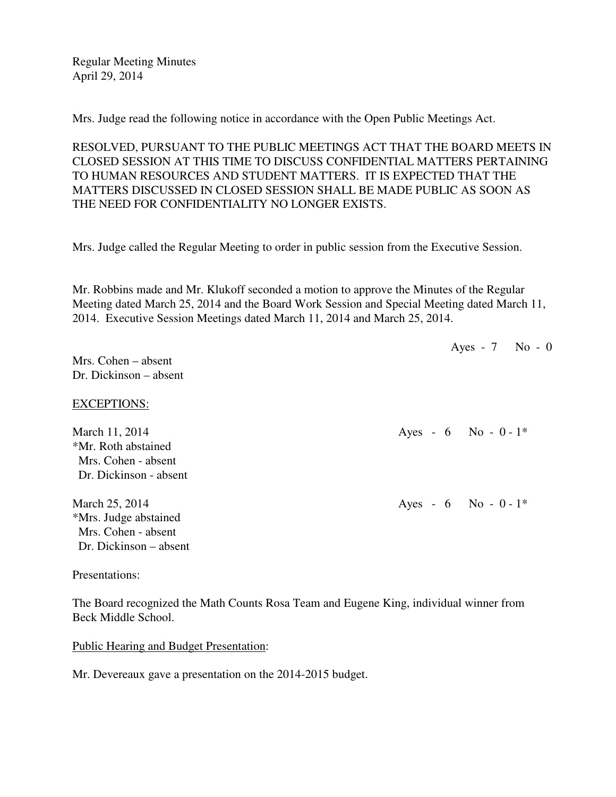Regular Meeting Minutes April 29, 2014

Mrs. Judge read the following notice in accordance with the Open Public Meetings Act.

 RESOLVED, PURSUANT TO THE PUBLIC MEETINGS ACT THAT THE BOARD MEETS IN CLOSED SESSION AT THIS TIME TO DISCUSS CONFIDENTIAL MATTERS PERTAINING TO HUMAN RESOURCES AND STUDENT MATTERS. IT IS EXPECTED THAT THE MATTERS DISCUSSED IN CLOSED SESSION SHALL BE MADE PUBLIC AS SOON AS THE NEED FOR CONFIDENTIALITY NO LONGER EXISTS.

Mrs. Judge called the Regular Meeting to order in public session from the Executive Session.

 Mr. Robbins made and Mr. Klukoff seconded a motion to approve the Minutes of the Regular Meeting dated March 25, 2014 and the Board Work Session and Special Meeting dated March 11, 2014. Executive Session Meetings dated March 11, 2014 and March 25, 2014.

| Mrs. Cohen – absent<br>Dr. Dickinson – absent                                            | Ayes - $7$ No - 0         |
|------------------------------------------------------------------------------------------|---------------------------|
| <b>EXCEPTIONS:</b>                                                                       |                           |
| March 11, 2014<br>*Mr. Roth abstained<br>Mrs. Cohen - absent<br>Dr. Dickinson - absent   | Ayes - $6$ No - $0 - 1$ * |
| March 25, 2014<br>*Mrs. Judge abstained<br>Mrs. Cohen - absent<br>Dr. Dickinson – absent | Ayes - 6 No - $0 - 1$ *   |

Presentations:

 The Board recognized the Math Counts Rosa Team and Eugene King, individual winner from Beck Middle School.

Public Hearing and Budget Presentation:

Mr. Devereaux gave a presentation on the 2014-2015 budget.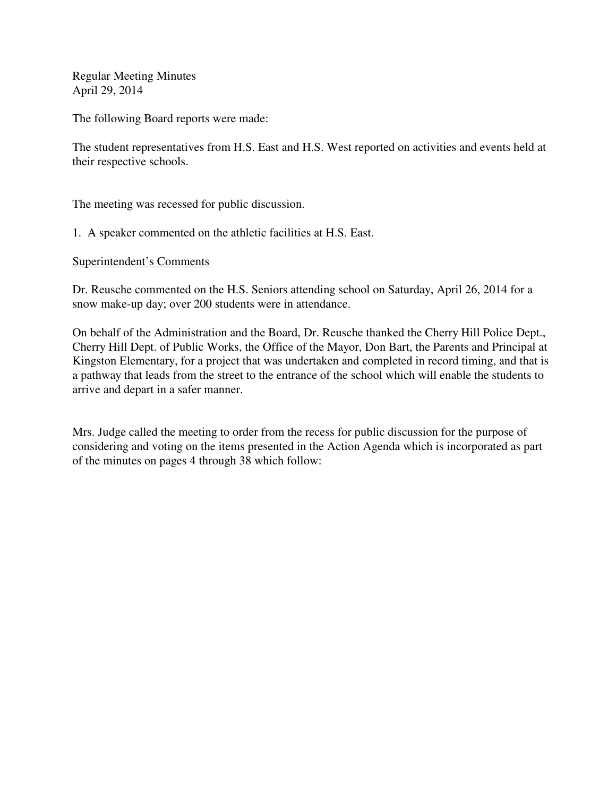Regular Meeting Minutes April 29, 2014

The following Board reports were made:

 The student representatives from H.S. East and H.S. West reported on activities and events held at their respective schools.

The meeting was recessed for public discussion.

1. A speaker commented on the athletic facilities at H.S. East.

Superintendent's Comments

 Dr. Reusche commented on the H.S. Seniors attending school on Saturday, April 26, 2014 for a snow make-up day; over 200 students were in attendance.

 On behalf of the Administration and the Board, Dr. Reusche thanked the Cherry Hill Police Dept., Cherry Hill Dept. of Public Works, the Office of the Mayor, Don Bart, the Parents and Principal at Kingston Elementary, for a project that was undertaken and completed in record timing, and that is a pathway that leads from the street to the entrance of the school which will enable the students to arrive and depart in a safer manner.

 Mrs. Judge called the meeting to order from the recess for public discussion for the purpose of considering and voting on the items presented in the Action Agenda which is incorporated as part of the minutes on pages 4 through 38 which follow: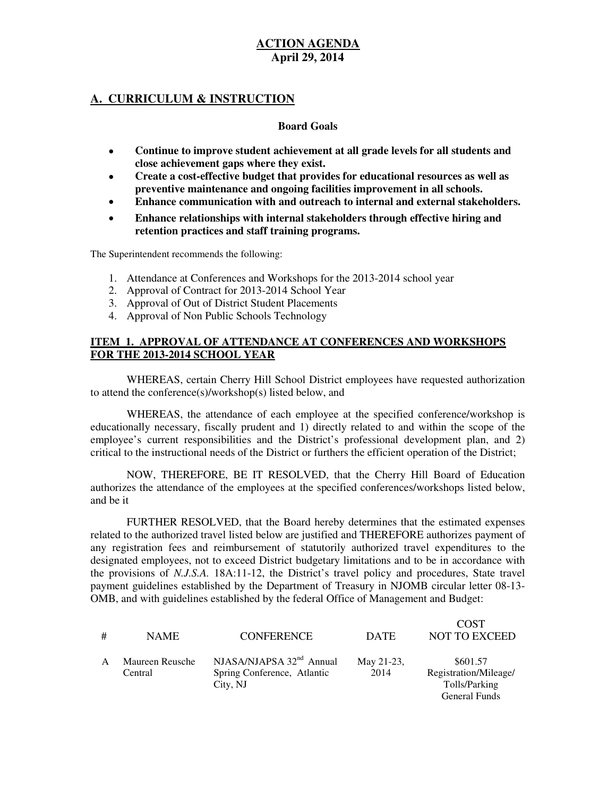### **A. CURRICULUM & INSTRUCTION**

#### **Board Goals**

- **Continue to improve student achievement at all grade levels for all students and close achievement gaps where they exist.**
- **Create a cost-effective budget that provides for educational resources as well as preventive maintenance and ongoing facilities improvement in all schools.**
- **Enhance communication with and outreach to internal and external stakeholders.**
- **Enhance relationships with internal stakeholders through effective hiring and retention practices and staff training programs.**

The Superintendent recommends the following:

- 1. Attendance at Conferences and Workshops for the 2013-2014 school year
- 2. Approval of Contract for 2013-2014 School Year
- 3. Approval of Out of District Student Placements
- 4. Approval of Non Public Schools Technology

#### **ITEM 1. APPROVAL OF ATTENDANCE AT CONFERENCES AND WORKSHOPS FOR THE 2013-2014 SCHOOL YEAR**

 WHEREAS, certain Cherry Hill School District employees have requested authorization to attend the conference(s)/workshop(s) listed below, and

 WHEREAS, the attendance of each employee at the specified conference/workshop is educationally necessary, fiscally prudent and 1) directly related to and within the scope of the employee's current responsibilities and the District's professional development plan, and 2) critical to the instructional needs of the District or furthers the efficient operation of the District;

 NOW, THEREFORE, BE IT RESOLVED, that the Cherry Hill Board of Education authorizes the attendance of the employees at the specified conferences/workshops listed below, and be it

 FURTHER RESOLVED, that the Board hereby determines that the estimated expenses related to the authorized travel listed below are justified and THEREFORE authorizes payment of any registration fees and reimbursement of statutorily authorized travel expenditures to the designated employees, not to exceed District budgetary limitations and to be in accordance with the provisions of *N.J.S.A.* 18A:11-12, the District's travel policy and procedures, State travel payment guidelines established by the Department of Treasury in NJOMB circular letter 08-13- OMB, and with guidelines established by the federal Office of Management and Budget:

| # | <b>NAME</b>                | <b>CONFERENCE</b>                                                               | <b>DATE</b>        | <b>COST</b><br><b>NOT TO EXCEED</b>                                        |
|---|----------------------------|---------------------------------------------------------------------------------|--------------------|----------------------------------------------------------------------------|
|   | Maureen Reusche<br>Central | NJASA/NJAPSA 32 <sup>nd</sup> Annual<br>Spring Conference, Atlantic<br>City, NJ | May 21-23,<br>2014 | \$601.57<br>Registration/Mileage/<br>Tolls/Parking<br><b>General Funds</b> |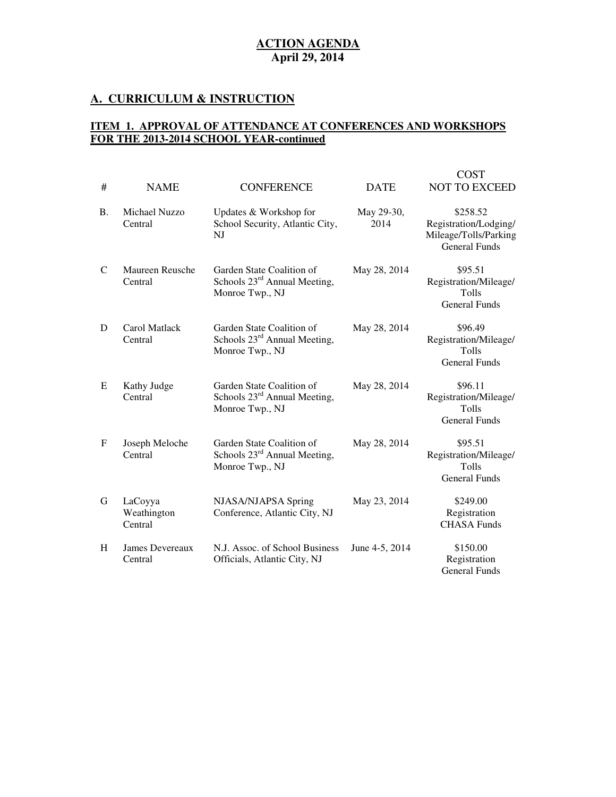#### **A. CURRICULUM & INSTRUCTION**

#### **ITEM 1. APPROVAL OF ATTENDANCE AT CONFERENCES AND WORKSHOPS FOR THE 2013-2014 SCHOOL YEAR-continued**

| #             | <b>NAME</b>                       | <b>CONFERENCE</b>                                                                        | <b>DATE</b>        | <b>COST</b><br><b>NOT TO EXCEED</b>                                                |
|---------------|-----------------------------------|------------------------------------------------------------------------------------------|--------------------|------------------------------------------------------------------------------------|
| <b>B.</b>     | Michael Nuzzo<br>Central          | Updates & Workshop for<br>School Security, Atlantic City,<br>NJ                          | May 29-30,<br>2014 | \$258.52<br>Registration/Lodging/<br>Mileage/Tolls/Parking<br><b>General Funds</b> |
| $\mathcal{C}$ | Maureen Reusche<br>Central        | Garden State Coalition of<br>Schools $23^{\text{rd}}$ Annual Meeting,<br>Monroe Twp., NJ | May 28, 2014       | \$95.51<br>Registration/Mileage/<br>Tolls<br><b>General Funds</b>                  |
| D             | Carol Matlack<br>Central          | Garden State Coalition of<br>Schools $23^{\text{rd}}$ Annual Meeting,<br>Monroe Twp., NJ | May 28, 2014       | \$96.49<br>Registration/Mileage/<br>Tolls<br><b>General Funds</b>                  |
| E             | Kathy Judge<br>Central            | Garden State Coalition of<br>Schools $23^{\text{rd}}$ Annual Meeting,<br>Monroe Twp., NJ | May 28, 2014       | \$96.11<br>Registration/Mileage/<br>Tolls<br><b>General Funds</b>                  |
| $\mathbf F$   | Joseph Meloche<br>Central         | Garden State Coalition of<br>Schools $23^{\text{rd}}$ Annual Meeting,<br>Monroe Twp., NJ | May 28, 2014       | \$95.51<br>Registration/Mileage/<br>Tolls<br><b>General Funds</b>                  |
| G             | LaCoyya<br>Weathington<br>Central | NJASA/NJAPSA Spring<br>Conference, Atlantic City, NJ                                     | May 23, 2014       | \$249.00<br>Registration<br><b>CHASA Funds</b>                                     |
| H             | James Devereaux<br>Central        | N.J. Assoc. of School Business<br>Officials, Atlantic City, NJ                           | June 4-5, 2014     | \$150.00<br>Registration<br><b>General Funds</b>                                   |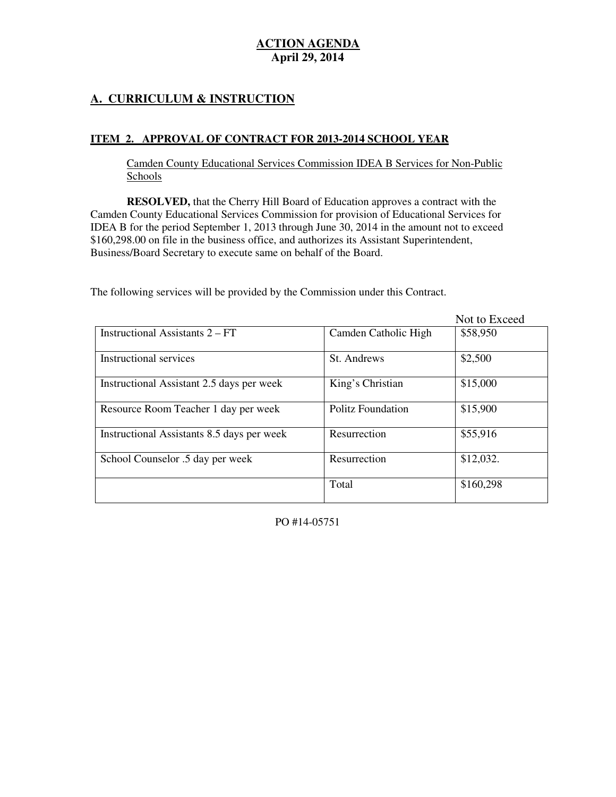# **A. CURRICULUM & INSTRUCTION**

#### **ITEM 2. APPROVAL OF CONTRACT FOR 2013-2014 SCHOOL YEAR**

 Camden County Educational Services Commission IDEA B Services for Non-Public Schools

 **RESOLVED,** that the Cherry Hill Board of Education approves a contract with the Camden County Educational Services Commission for provision of Educational Services for IDEA B for the period September 1, 2013 through June 30, 2014 in the amount not to exceed \$160,298.00 on file in the business office, and authorizes its Assistant Superintendent, Business/Board Secretary to execute same on behalf of the Board.

The following services will be provided by the Commission under this Contract.

|                                            |                          | Not to Exceed |
|--------------------------------------------|--------------------------|---------------|
| Instructional Assistants 2 – FT            | Camden Catholic High     | \$58,950      |
| Instructional services                     | St. Andrews              | \$2,500       |
| Instructional Assistant 2.5 days per week  | King's Christian         | \$15,000      |
| Resource Room Teacher 1 day per week       | <b>Politz Foundation</b> | \$15,900      |
| Instructional Assistants 8.5 days per week | Resurrection             | \$55,916      |
| School Counselor .5 day per week           | Resurrection             | \$12,032.     |
|                                            | Total                    | \$160,298     |

PO #14-05751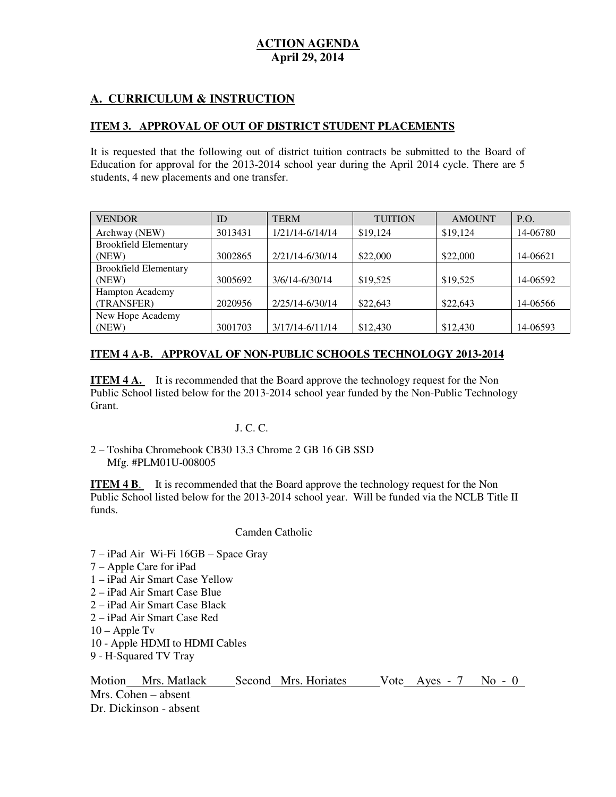# **A. CURRICULUM & INSTRUCTION**

#### **ITEM 3. APPROVAL OF OUT OF DISTRICT STUDENT PLACEMENTS**

 It is requested that the following out of district tuition contracts be submitted to the Board of Education for approval for the 2013-2014 school year during the April 2014 cycle. There are 5 students, 4 new placements and one transfer.

| <b>VENDOR</b>                | ID      | TERM            | <b>TUITION</b> | <b>AMOUNT</b> | P.O.     |
|------------------------------|---------|-----------------|----------------|---------------|----------|
| Archway (NEW)                | 3013431 | 1/21/14-6/14/14 | \$19,124       | \$19,124      | 14-06780 |
| <b>Brookfield Elementary</b> |         |                 |                |               |          |
| (NEW)                        | 3002865 | 2/21/14-6/30/14 | \$22,000       | \$22,000      | 14-06621 |
| <b>Brookfield Elementary</b> |         |                 |                |               |          |
| (NEW)                        | 3005692 | 3/6/14-6/30/14  | \$19,525       | \$19,525      | 14-06592 |
| <b>Hampton Academy</b>       |         |                 |                |               |          |
| (TRANSFER)                   | 2020956 | 2/25/14-6/30/14 | \$22,643       | \$22,643      | 14-06566 |
| New Hope Academy             |         |                 |                |               |          |
| (NEW)                        | 3001703 | 3/17/14-6/11/14 | \$12,430       | \$12,430      | 14-06593 |

#### **ITEM 4 A-B. APPROVAL OF NON-PUBLIC SCHOOLS TECHNOLOGY 2013-2014**

**ITEM 4 A.** It is recommended that the Board approve the technology request for the Non Public School listed below for the 2013-2014 school year funded by the Non-Public Technology Grant.

#### J. C. C.

 2 – Toshiba Chromebook CB30 13.3 Chrome 2 GB 16 GB SSD Mfg. #PLM01U-008005

**ITEM 4 B.** It is recommended that the Board approve the technology request for the Non Public School listed below for the 2013-2014 school year. Will be funded via the NCLB Title II funds.

#### Camden Catholic

- 7 iPad Air Wi-Fi 16GB Space Gray
- 7 Apple Care for iPad
- 1 iPad Air Smart Case Yellow
- 2 iPad Air Smart Case Blue
- 2 iPad Air Smart Case Black
- 2 iPad Air Smart Case Red
- 10 Apple Tv
- 10 Apple HDMI to HDMI Cables
- 9 H-Squared TV Tray

Motion Mrs. Matlack Second Mrs. Horiates Vote Ayes - 7 No - 0 Mrs. Cohen – absent Dr. Dickinson - absent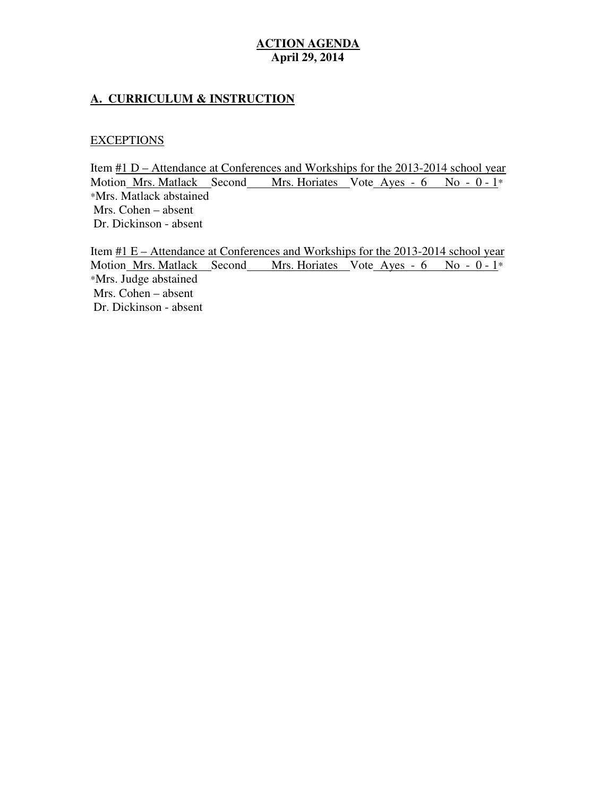### **A. CURRICULUM & INSTRUCTION**

### **EXCEPTIONS**

Item  $#1$  D – Attendance at Conferences and Workships for the 2013-2014 school year Motion Mrs. Matlack Second Mrs. Horiates Vote Ayes - 6 No - 0 - 1<sup>\*</sup> \*Mrs. Matlack abstained Mrs. Cohen – absent Dr. Dickinson - absent

Item  $#1 E -$  Attendance at Conferences and Workships for the 2013-2014 school year Motion Mrs. Matlack Second Mrs. Horiates Vote Ayes - 6 No - 0 - 1<sup>\*</sup> \*Mrs. Judge abstained Mrs. Cohen – absent Dr. Dickinson - absent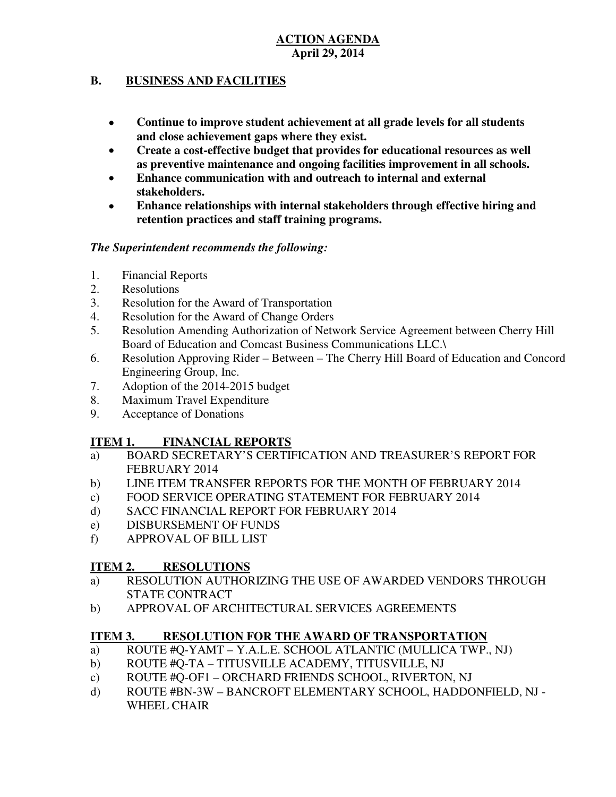#### **B**. **B. BUSINESS AND FACILITIES**

- **Continue to improve student achievement at all grade levels for all students and close achievement gaps where they exist.**
- **Create a cost-effective budget that provides for educational resources as well as preventive maintenance and ongoing facilities improvement in all schools.**
- **Enhance communication with and outreach to internal and external stakeholders.**
- **Enhance relationships with internal stakeholders through effective hiring and retention practices and staff training programs.**

# *The Superintendent recommends the following:*

- 1. Financial Reports
- 2. Resolutions
- 3. Resolution for the Award of Transportation
- 4. Resolution for the Award of Change Orders
- 5. Resolution Amending Authorization of Network Service Agreement between Cherry Hill Board of Education and Comcast Business Communications LLC.\
- 6. Resolution Approving Rider Between The Cherry Hill Board of Education and Concord Engineering Group, Inc.
- 7. Adoption of the 2014-2015 budget
- 8. Maximum Travel Expenditure
- 9. Acceptance of Donations

#### **ITEM 1. FINANCIAL REPORTS**

- a) BOARD SECRETARY'S CERTIFICATION AND TREASURER'S REPORT FOR FEBRUARY 2014
- b) b) LINE ITEM TRANSFER REPORTS FOR THE MONTH OF FEBRUARY 2014
- $c)$ FOOD SERVICE OPERATING STATEMENT FOR FEBRUARY 2014
- $\mathbf{d}$ SACC FINANCIAL REPORT FOR FEBRUARY 2014
- e) DISBURSEMENT OF FUNDS
- f) APPROVAL OF BILL LIST

#### **ITEM 2. RESOLUTIONS**

- a) RESOLUTION AUTHORIZING THE USE OF AWARDED VENDORS THROUGH STATE CONTRACT
- b) APPROVAL OF ARCHITECTURAL SERVICES AGREEMENTS

#### **ITEM 3. RESOLUTION FOR THE AWARD OF TRANSPORTATION**

- a) ROUTE #Q-YAMT Y.A.L.E. SCHOOL ATLANTIC (MULLICA TWP., NJ)
- b) ROUTE #Q-TA TITUSVILLE ACADEMY, TITUSVILLE, NJ
- c) ROUTE #Q-OF1 ORCHARD FRIENDS SCHOOL, RIVERTON, NJ
- d) ROUTE #BN-3W BANCROFT ELEMENTARY SCHOOL, HADDONFIELD, NJ WHEEL CHAIR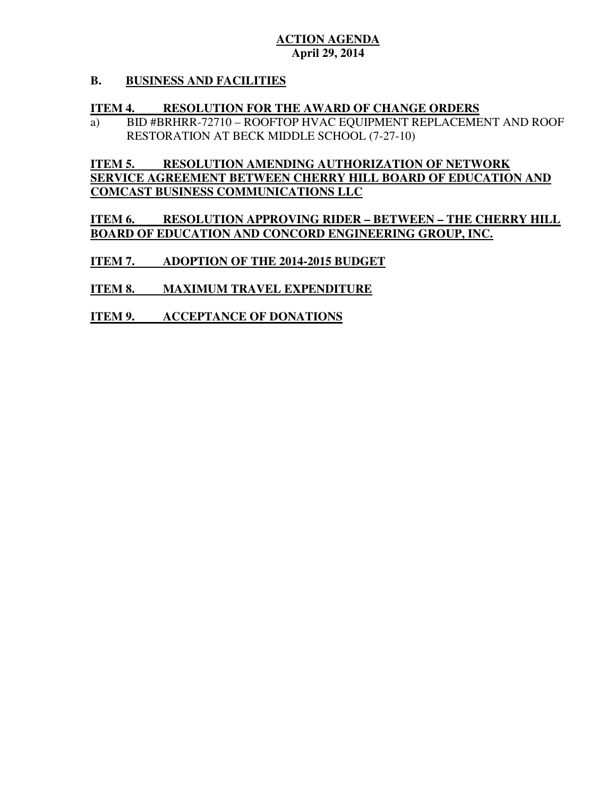#### **B. B. BUSINESS AND FACILITIES**

#### **ITEM 4. RESOLUTION FOR THE AWARD OF CHANGE ORDERS**

a) RESTORATION AT BECK MIDDLE SCHOOL (7-27-10) a) BID #BRHRR-72710 – ROOFTOP HVAC EQUIPMENT REPLACEMENT AND ROOF

# **ITEM 5. RESOLUTION AMENDING AUTHORIZATION OF NETWORK SERVICE AGREEMENT BETWEEN CHERRY HILL BOARD OF EDUCATION AND COMCAST BUSINESS COMMUNICATIONS LLC**

**ITEM 6. BOARD OF EDUCATION AND CONCORD ENGINEERING GROUP, INC. RESOLUTION APPROVING RIDER – BETWEEN – THE CHERRY HILL** 

# **ITEM 7. ADOPTION OF THE 2014-2015 BUDGET**

#### **ITEM 8. IMAXIMUM TRAVEL EXPENDITURE**

**ITEM 9. ACCEPTANCE OF DONATIONS**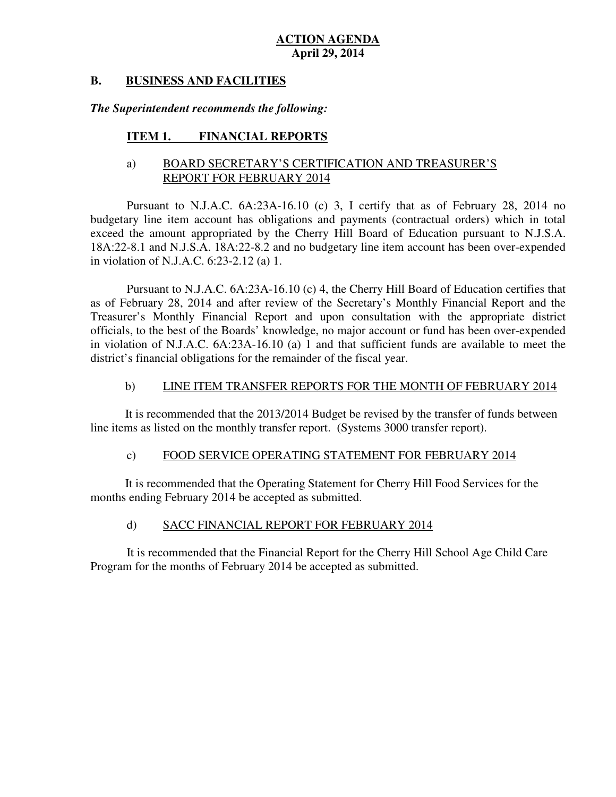#### **B. B. BUSINESS AND FACILITIES**

# *The Superintendent recommends the following:*

#### **ITEM 1. FINANCIAL REPORTS**

# a) BOARD SECRETARY'S CERTIFICATION AND TREASURER'S REPORT FOR FEBRUARY 2014

 Pursuant to N.J.A.C. 6A:23A-16.10 (c) 3, I certify that as of February 28, 2014 no budgetary line item account has obligations and payments (contractual orders) which in total exceed the amount appropriated by the Cherry Hill Board of Education pursuant to N.J.S.A. 18A:22-8.1 and N.J.S.A. 18A:22-8.2 and no budgetary line item account has been over-expended in violation of N.J.A.C. 6:23-2.12 (a) 1.

 Pursuant to N.J.A.C. 6A:23A-16.10 (c) 4, the Cherry Hill Board of Education certifies that as of February 28, 2014 and after review of the Secretary's Monthly Financial Report and the Treasurer's Monthly Financial Report and upon consultation with the appropriate district officials, to the best of the Boards' knowledge, no major account or fund has been over-expended in violation of N.J.A.C. 6A:23A-16.10 (a) 1 and that sufficient funds are available to meet the district's financial obligations for the remainder of the fiscal year.

#### $b)$ LINE ITEM TRANSFER REPORTS FOR THE MONTH OF FEBRUARY 2014

 It is recommended that the 2013/2014 Budget be revised by the transfer of funds between line items as listed on the monthly transfer report. (Systems 3000 transfer report).

#### $c)$ FOOD SERVICE OPERATING STATEMENT FOR FEBRUARY 2014

 It is recommended that the Operating Statement for Cherry Hill Food Services for the months ending February 2014 be accepted as submitted.

#### $\mathbf{d}$ SACC FINANCIAL REPORT FOR FEBRUARY 2014

 It is recommended that the Financial Report for the Cherry Hill School Age Child Care Program for the months of February 2014 be accepted as submitted.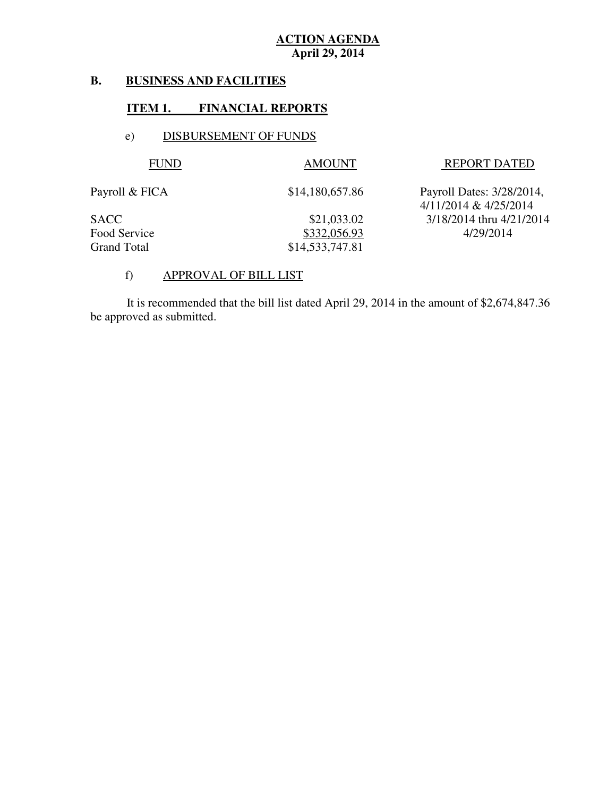#### **B. B. BUSINESS AND FACILITIES**

#### **ITEM 1. FINANCIAL REPORTS**

#### e) DISBURSEMENT OF FUNDS

| <b>FUND</b>        | <b>AMOUNT</b>   | <b>REPORT DATED</b>                                |
|--------------------|-----------------|----------------------------------------------------|
| Payroll & FICA     | \$14,180,657.86 | Payroll Dates: 3/28/2014,<br>4/11/2014 & 4/25/2014 |
| <b>SACC</b>        | \$21,033.02     | 3/18/2014 thru 4/21/2014                           |
| Food Service       | \$332,056.93    | 4/29/2014                                          |
| <b>Grand Total</b> | \$14,533,747.81 |                                                    |

#### f) APPROVAL OF BILL LIST

 be approved as submitted. It is recommended that the bill list dated April 29, 2014 in the amount of \$2,674,847.36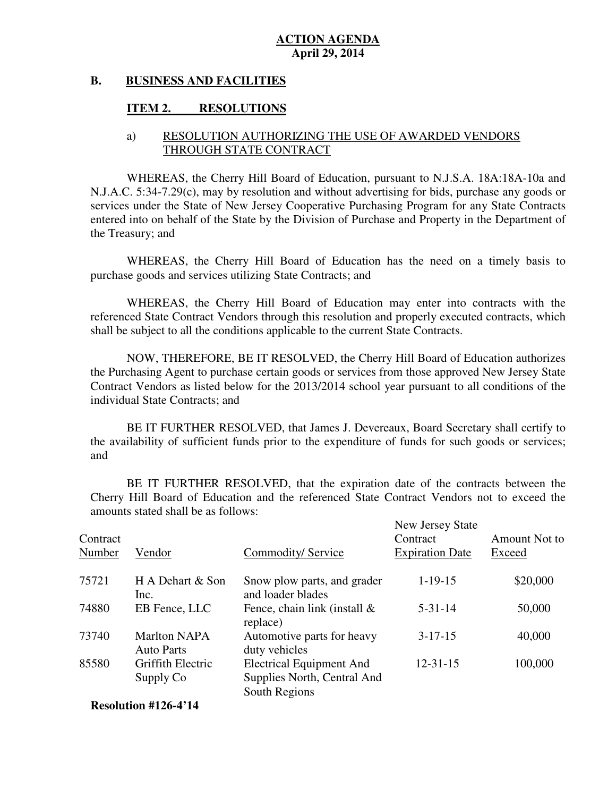#### **B. B. BUSINESS AND FACILITIES**

#### **ITEM 2. RESOLUTIONS**

#### a) RESOLUTION AUTHORIZING THE USE OF AWARDED VENDORS THROUGH STATE CONTRACT

 WHEREAS, the Cherry Hill Board of Education, pursuant to N.J.S.A. 18A:18A-10a and N.J.A.C. 5:34-7.29(c), may by resolution and without advertising for bids, purchase any goods or services under the State of New Jersey Cooperative Purchasing Program for any State Contracts entered into on behalf of the State by the Division of Purchase and Property in the Department of the Treasury; and

 WHEREAS, the Cherry Hill Board of Education has the need on a timely basis to purchase goods and services utilizing State Contracts; and

 WHEREAS, the Cherry Hill Board of Education may enter into contracts with the referenced State Contract Vendors through this resolution and properly executed contracts, which shall be subject to all the conditions applicable to the current State Contracts.

 NOW, THEREFORE, BE IT RESOLVED, the Cherry Hill Board of Education authorizes the Purchasing Agent to purchase certain goods or services from those approved New Jersey State Contract Vendors as listed below for the 2013/2014 school year pursuant to all conditions of the individual State Contracts; and

 the availability of sufficient funds prior to the expenditure of funds for such goods or services;  and BE IT FURTHER RESOLVED, that James J. Devereaux, Board Secretary shall certify to

 Cherry Hill Board of Education and the referenced State Contract Vendors not to exceed the amounts stated shall be as follows: BE IT FURTHER RESOLVED, that the expiration date of the contracts between the

| Contract<br>Number | Vendor                                   | Commodity/Service                                                               | New Jersey State<br>Contract<br><b>Expiration Date</b> | Amount Not to<br>Exceed |
|--------------------|------------------------------------------|---------------------------------------------------------------------------------|--------------------------------------------------------|-------------------------|
| 75721              | H A Dehart & Son<br>Inc.                 | Snow plow parts, and grader<br>and loader blades                                | $1-19-15$                                              | \$20,000                |
| 74880              | EB Fence, LLC                            | Fence, chain link (install $\&$<br>replace)                                     | $5 - 31 - 14$                                          | 50,000                  |
| 73740              | <b>Marlton NAPA</b><br><b>Auto Parts</b> | Automotive parts for heavy<br>duty vehicles                                     | $3 - 17 - 15$                                          | 40,000                  |
| 85580              | Griffith Electric<br>Supply Co           | <b>Electrical Equipment And</b><br>Supplies North, Central And<br>South Regions | $12 - 31 - 15$                                         | 100,000                 |

 **Resolution #126-4'14**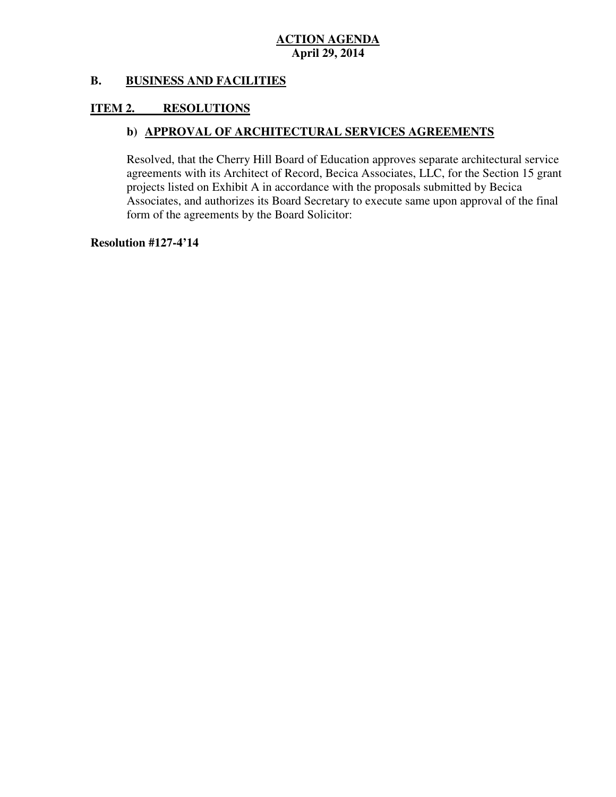#### **B. B. BUSINESS AND FACILITIES**

#### **ITEM 2. RESOLUTIONS**

### **b) APPROVAL OF ARCHITECTURAL SERVICES AGREEMENTS**

 Resolved, that the Cherry Hill Board of Education approves separate architectural service agreements with its Architect of Record, Becica Associates, LLC, for the Section 15 grant projects listed on Exhibit A in accordance with the proposals submitted by Becica Associates, and authorizes its Board Secretary to execute same upon approval of the final form of the agreements by the Board Solicitor:

 **Resolution #127-4'14**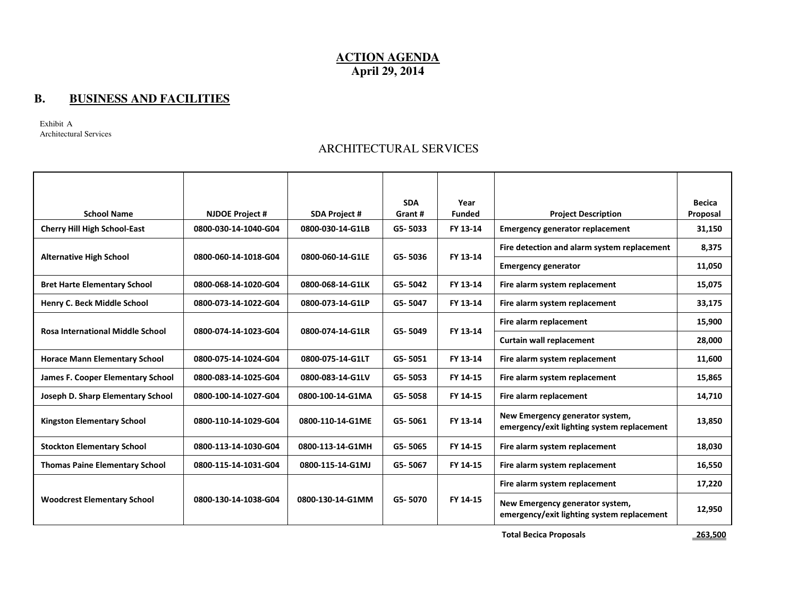#### **B. BUSINESS AND FACILITIES**

Exhibit A Architectural Services

#### ARCHITECTURAL SERVICES

|                                         |                        |                      | <b>SDA</b> | Year          |                                                                               | <b>Becica</b> |
|-----------------------------------------|------------------------|----------------------|------------|---------------|-------------------------------------------------------------------------------|---------------|
| <b>School Name</b>                      | <b>NJDOE Project #</b> | <b>SDA Project #</b> | Grant #    | <b>Funded</b> | <b>Project Description</b>                                                    | Proposal      |
| <b>Cherry Hill High School-East</b>     | 0800-030-14-1040-G04   | 0800-030-14-G1LB     | G5-5033    | FY 13-14      | <b>Emergency generator replacement</b>                                        | 31,150        |
| <b>Alternative High School</b>          | 0800-060-14-1018-G04   | 0800-060-14-G1LE     | G5-5036    | FY 13-14      | Fire detection and alarm system replacement                                   | 8,375         |
|                                         |                        |                      |            |               | <b>Emergency generator</b>                                                    | 11,050        |
| <b>Bret Harte Elementary School</b>     | 0800-068-14-1020-G04   | 0800-068-14-G1LK     | G5-5042    | FY 13-14      | Fire alarm system replacement                                                 | 15,075        |
| Henry C. Beck Middle School             | 0800-073-14-1022-G04   | 0800-073-14-G1LP     | G5-5047    | FY 13-14      | Fire alarm system replacement                                                 | 33.175        |
| <b>Rosa International Middle School</b> |                        | 0800-074-14-G1LR     | G5-5049    | FY 13-14      | Fire alarm replacement                                                        | 15,900        |
|                                         | 0800-074-14-1023-G04   |                      |            |               | <b>Curtain wall replacement</b>                                               | 28,000        |
| <b>Horace Mann Elementary School</b>    | 0800-075-14-1024-G04   | 0800-075-14-G1LT     | G5-5051    | FY 13-14      | Fire alarm system replacement                                                 | 11,600        |
| James F. Cooper Elementary School       | 0800-083-14-1025-G04   | 0800-083-14-G1LV     | G5-5053    | FY 14-15      | Fire alarm system replacement                                                 | 15,865        |
| Joseph D. Sharp Elementary School       | 0800-100-14-1027-G04   | 0800-100-14-G1MA     | G5-5058    | FY 14-15      | Fire alarm replacement                                                        | 14,710        |
| <b>Kingston Elementary School</b>       | 0800-110-14-1029-G04   | 0800-110-14-G1ME     | G5-5061    | FY 13-14      | New Emergency generator system,<br>emergency/exit lighting system replacement | 13,850        |
| <b>Stockton Elementary School</b>       | 0800-113-14-1030-G04   | 0800-113-14-G1MH     | G5-5065    | FY 14-15      | Fire alarm system replacement                                                 | 18,030        |
| <b>Thomas Paine Elementary School</b>   | 0800-115-14-1031-G04   | 0800-115-14-G1MJ     | G5-5067    | FY 14-15      | Fire alarm system replacement                                                 | 16,550        |
|                                         |                        |                      |            |               | Fire alarm system replacement                                                 | 17,220        |
| <b>Woodcrest Elementary School</b>      | 0800-130-14-1038-G04   | 0800-130-14-G1MM     | G5-5070    | FY 14-15      | New Emergency generator system,<br>emergency/exit lighting system replacement | 12,950        |

**Total Becica Proposals** 263,500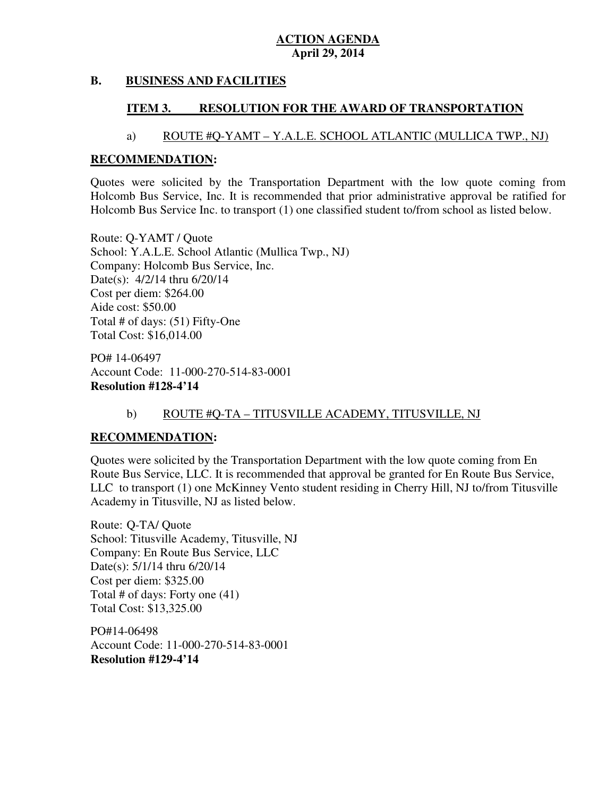#### **B. B. BUSINESS AND FACILITIES**

#### **ITEM 3. RESOLUTION FOR THE AWARD OF TRANSPORTATION**

# a) ROUTE #Q-YAMT – Y.A.L.E. SCHOOL ATLANTIC (MULLICA TWP., NJ)

### **RECOMMENDATION:**

 Quotes were solicited by the Transportation Department with the low quote coming from Holcomb Bus Service, Inc. It is recommended that prior administrative approval be ratified for Holcomb Bus Service Inc. to transport (1) one classified student to/from school as listed below.

 Route: Q-YAMT / Quote School: Y.A.L.E. School Atlantic (Mullica Twp., NJ) Company: Holcomb Bus Service, Inc. Date(s): 4/2/14 thru 6/20/14 Cost per diem: \$264.00 Aide cost: \$50.00 Total # of days: (51) Fifty-One Total Cost: \$16,014.00

 PO# 14-06497 Account Code: 11-000-270-514-83-0001  **Resolution #128-4'14** 

# b) ROUTE #Q-TA – TITUSVILLE ACADEMY, TITUSVILLE, NJ

# **RECOMMENDATION:**

 Quotes were solicited by the Transportation Department with the low quote coming from En Route Bus Service, LLC. It is recommended that approval be granted for En Route Bus Service, LLC to transport (1) one McKinney Vento student residing in Cherry Hill, NJ to/from Titusville Academy in Titusville, NJ as listed below.

 Route: Q-TA/ Quote School: Titusville Academy, Titusville, NJ Company: En Route Bus Service, LLC Date(s): 5/1/14 thru 6/20/14 Cost per diem: \$325.00 Total # of days: Forty one (41) Total Cost: \$13,325.00

 Account Code: 11-000-270-514-83-0001  **Resolution #129-4'14** PO#14-06498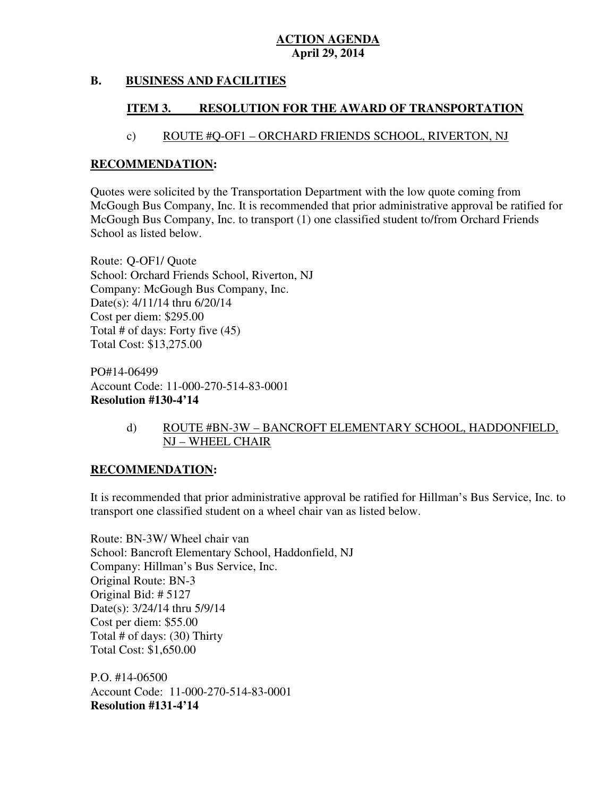#### **B. B. BUSINESS AND FACILITIES**

#### **ITEM 3. RESOLUTION FOR THE AWARD OF TRANSPORTATION**

### c) ROUTE #Q-OF1 – ORCHARD FRIENDS SCHOOL, RIVERTON, NJ

#### **RECOMMENDATION:**

 Quotes were solicited by the Transportation Department with the low quote coming from McGough Bus Company, Inc. It is recommended that prior administrative approval be ratified for McGough Bus Company, Inc. to transport (1) one classified student to/from Orchard Friends School as listed below.

 Route: Q-OF1/ Quote School: Orchard Friends School, Riverton, NJ Company: McGough Bus Company, Inc. Date(s): 4/11/14 thru 6/20/14 Cost per diem: \$295.00 Total # of days: Forty five (45) Total Cost: \$13,275.00

 Account Code: 11-000-270-514-83-0001  **Resolution #130-4'14**  PO#14-06499

### d) ROUTE #BN-3W – BANCROFT ELEMENTARY SCHOOL, HADDONFIELD, NJ – WHEEL CHAIR

# **RECOMMENDATION:**

 It is recommended that prior administrative approval be ratified for Hillman's Bus Service, Inc. to transport one classified student on a wheel chair van as listed below.

 Route: BN-3W/ Wheel chair van School: Bancroft Elementary School, Haddonfield, NJ Company: Hillman's Bus Service, Inc. Original Route: BN-3 Original Bid: # 5127 Date(s): 3/24/14 thru 5/9/14 Cost per diem: \$55.00 Total # of days: (30) Thirty Total Cost: \$1,650.00

 P.O. #14-06500 Account Code: 11-000-270-514-83-0001  **Resolution #131-4'14**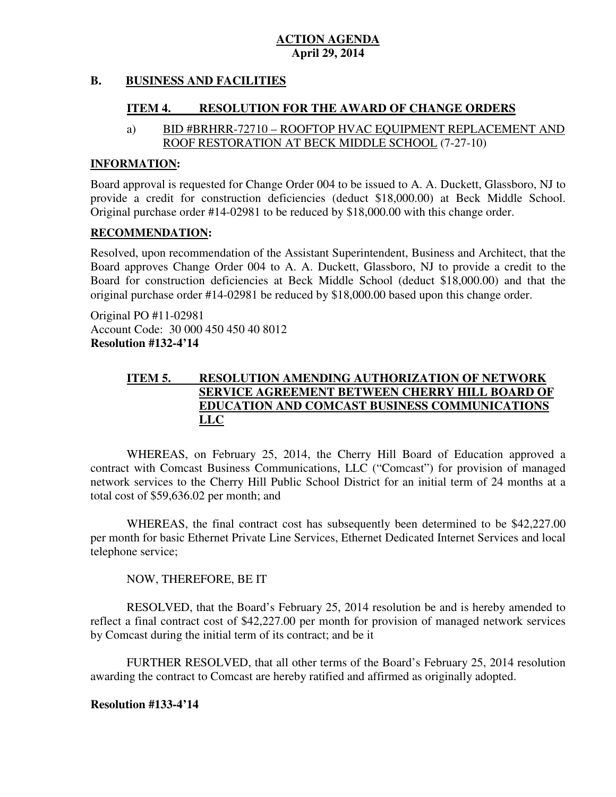#### **B. B. BUSINESS AND FACILITIES**

#### **ITEM 4. RESOLUTION FOR THE AWARD OF CHANGE ORDERS**

#### a) ROOF RESTORATION AT BECK MIDDLE SCHOOL (7-27-10) BID #BRHRR-72710 – ROOFTOP HVAC EQUIPMENT REPLACEMENT AND

#### **INFORMATION:**

 Board approval is requested for Change Order 004 to be issued to A. A. Duckett, Glassboro, NJ to provide a credit for construction deficiencies (deduct \$18,000.00) at Beck Middle School. Original purchase order #14-02981 to be reduced by \$18,000.00 with this change order.

#### **RECOMMENDATION:**

 Resolved, upon recommendation of the Assistant Superintendent, Business and Architect, that the Board approves Change Order 004 to A. A. Duckett, Glassboro, NJ to provide a credit to the Board for construction deficiencies at Beck Middle School (deduct \$18,000.00) and that the original purchase order #14-02981 be reduced by \$18,000.00 based upon this change order.

 Original PO #11-02981 Account Code: 30 000 450 450 40 8012  **Resolution #132-4'14** 

#### **ITEM 5. SERVICE AGREEMENT BETWEEN CHERRY HILL BOARD OF EDUCATION AND COMCAST BUSINESS COMMUNICATIONS RESOLUTION AMENDING AUTHORIZATION OF NETWORK LLC**

 WHEREAS, on February 25, 2014, the Cherry Hill Board of Education approved a contract with Comcast Business Communications, LLC ("Comcast") for provision of managed network services to the Cherry Hill Public School District for an initial term of 24 months at a total cost of \$59,636.02 per month; and

 WHEREAS, the final contract cost has subsequently been determined to be \$42,227.00 per month for basic Ethernet Private Line Services, Ethernet Dedicated Internet Services and local telephone service;

### NOW, THEREFORE, BE IT

 RESOLVED, that the Board's February 25, 2014 resolution be and is hereby amended to reflect a final contract cost of \$42,227.00 per month for provision of managed network services by Comcast during the initial term of its contract; and be it

 FURTHER RESOLVED, that all other terms of the Board's February 25, 2014 resolution awarding the contract to Comcast are hereby ratified and affirmed as originally adopted.

#### **Resolution #133-4'14**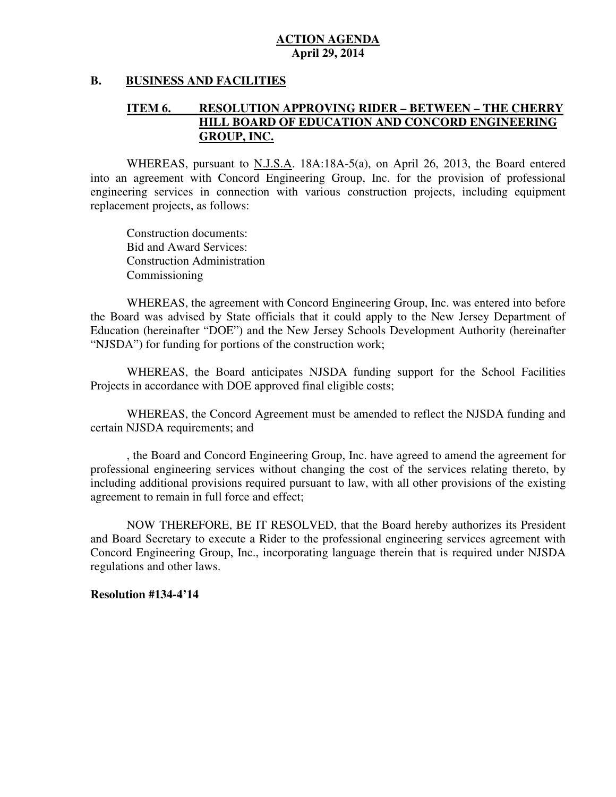#### **B. B. BUSINESS AND FACILITIES**

#### **ITEM 6. HILL BOARD OF EDUCATION AND CONCORD ENGINEERING GROUP, INC. RESOLUTION APPROVING RIDER - BETWEEN - THE CHERRY**

WHEREAS, pursuant to **N.J.S.A.** 18A:18A-5(a), on April 26, 2013, the Board entered into an agreement with Concord Engineering Group, Inc. for the provision of professional engineering services in connection with various construction projects, including equipment replacement projects, as follows:

 Construction documents: Commissioning Bid and Award Services: Construction Administration

Commissioning<br>WHEREAS, the agreement with Concord Engineering Group, Inc. was entered into before the Board was advised by State officials that it could apply to the New Jersey Department of Education (hereinafter "DOE") and the New Jersey Schools Development Authority (hereinafter "NJSDA") for funding for portions of the construction work;

 WHEREAS, the Board anticipates NJSDA funding support for the School Facilities Projects in accordance with DOE approved final eligible costs;

 WHEREAS, the Concord Agreement must be amended to reflect the NJSDA funding and certain NJSDA requirements; and

 , the Board and Concord Engineering Group, Inc. have agreed to amend the agreement for professional engineering services without changing the cost of the services relating thereto, by including additional provisions required pursuant to law, with all other provisions of the existing agreement to remain in full force and effect;

 NOW THEREFORE, BE IT RESOLVED, that the Board hereby authorizes its President and Board Secretary to execute a Rider to the professional engineering services agreement with Concord Engineering Group, Inc., incorporating language therein that is required under NJSDA regulations and other laws.

#### **Resolution #134-4'14**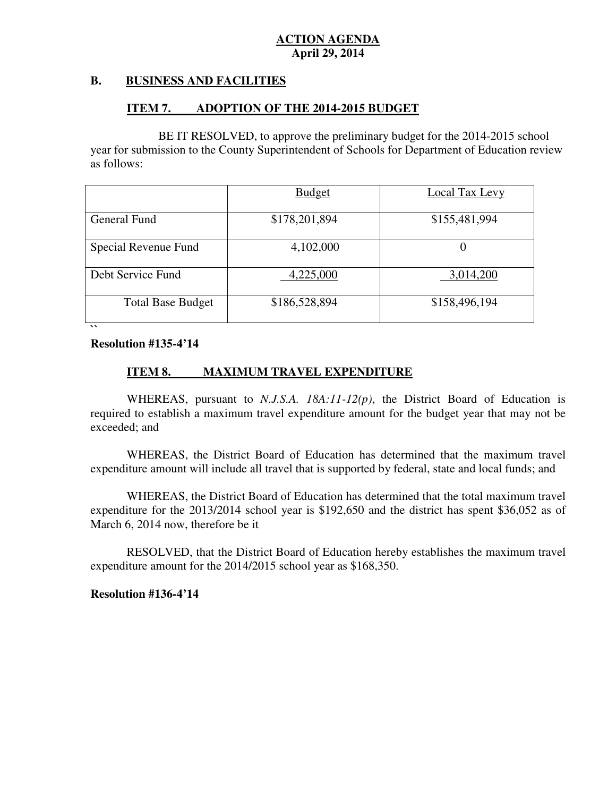#### **B. B. BUSINESS AND FACILITIES**

#### **ITEM 7. IMPORTION OF THE 2014-2015 BUDGET**

 BE IT RESOLVED, to approve the preliminary budget for the 2014-2015 school year for submission to the County Superintendent of Schools for Department of Education review as follows:

|                          |               | <b>Local Tax Levy</b> |
|--------------------------|---------------|-----------------------|
| <b>General Fund</b>      | \$178,201,894 | \$155,481,994         |
| Special Revenue Fund     | 4,102,000     | $\theta$              |
| Debt Service Fund        | 4,225,000     | 3,014,200             |
| <b>Total Base Budget</b> | \$186,528,894 | \$158,496,194         |

 **Resolution #135-4'14** 

### **ITEM 8. MAXIMUM TRAVEL EXPENDITURE**

 WHEREAS, pursuant to *N.J.S.A. 18A:11-12(p)*, the District Board of Education is required to establish a maximum travel expenditure amount for the budget year that may not be exceeded; and

 WHEREAS, the District Board of Education has determined that the maximum travel expenditure amount will include all travel that is supported by federal, state and local funds; and

 WHEREAS, the District Board of Education has determined that the total maximum travel expenditure for the 2013/2014 school year is \$192,650 and the district has spent \$36,052 as of March 6, 2014 now, therefore be it

 RESOLVED, that the District Board of Education hereby establishes the maximum travel expenditure amount for the 2014/2015 school year as \$168,350.

 **Resolution #136-4'14**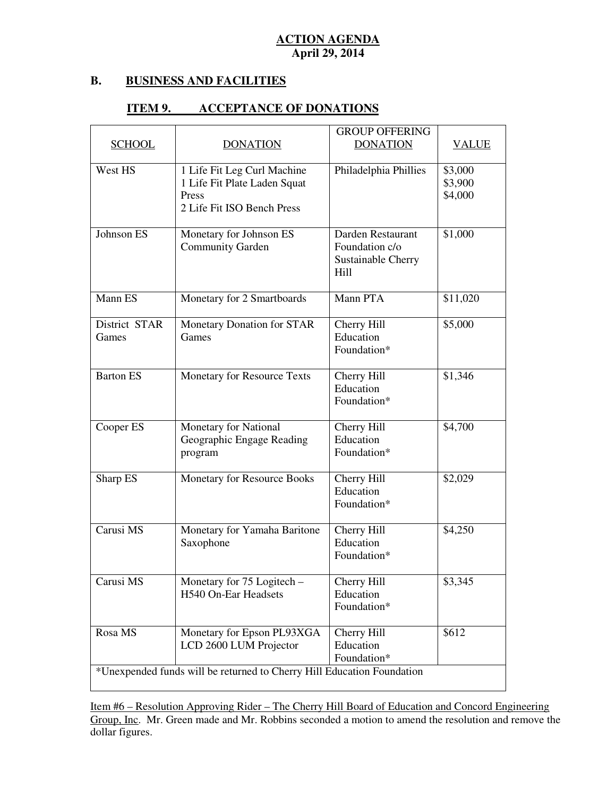#### **B. BUSINESS AND FACILITIES**

#### **ITEM 9. INCCEPTANCE OF DONATIONS**

| <b>SCHOOL</b>                                                          | <b>DONATION</b>                                                                                    | <b>GROUP OFFERING</b><br><b>DONATION</b>                          | <b>VALUE</b>                  |  |
|------------------------------------------------------------------------|----------------------------------------------------------------------------------------------------|-------------------------------------------------------------------|-------------------------------|--|
| West HS                                                                | 1 Life Fit Leg Curl Machine<br>1 Life Fit Plate Laden Squat<br>Press<br>2 Life Fit ISO Bench Press | Philadelphia Phillies                                             | \$3,000<br>\$3,900<br>\$4,000 |  |
| Johnson ES                                                             | Monetary for Johnson ES<br><b>Community Garden</b>                                                 | Darden Restaurant<br>Foundation c/o<br>Sustainable Cherry<br>Hill | \$1,000                       |  |
| Mann ES                                                                | Monetary for 2 Smartboards                                                                         | Mann PTA                                                          | \$11,020                      |  |
| District STAR<br>Games                                                 | Monetary Donation for STAR<br>Games                                                                | Cherry Hill<br>Education<br>Foundation*                           | \$5,000                       |  |
| <b>Barton ES</b>                                                       | Monetary for Resource Texts                                                                        | Cherry Hill<br>Education<br>Foundation*                           | \$1,346                       |  |
| Cooper ES                                                              | Monetary for National<br>Geographic Engage Reading<br>program                                      | Cherry Hill<br>Education<br>Foundation*                           | \$4,700                       |  |
| Sharp ES                                                               | Monetary for Resource Books                                                                        | Cherry Hill<br>Education<br>Foundation*                           | \$2,029                       |  |
| Carusi MS                                                              | Monetary for Yamaha Baritone<br>Saxophone                                                          | Cherry Hill<br>Education<br>Foundation*                           | \$4,250                       |  |
| Carusi MS                                                              | Monetary for 75 Logitech –<br>H540 On-Ear Headsets                                                 | Cherry Hill<br>Education<br>Foundation*                           | \$3,345                       |  |
| Rosa MS                                                                | Monetary for Epson PL93XGA<br>LCD 2600 LUM Projector                                               | Cherry Hill<br>Education<br>Foundation*                           | \$612                         |  |
| *Unexpended funds will be returned to Cherry Hill Education Foundation |                                                                                                    |                                                                   |                               |  |

 Item #6 – Resolution Approving Rider – The Cherry Hill Board of Education and Concord Engineering Group, Inc. Mr. Green made and Mr. Robbins seconded a motion to amend the resolution and remove the dollar figures.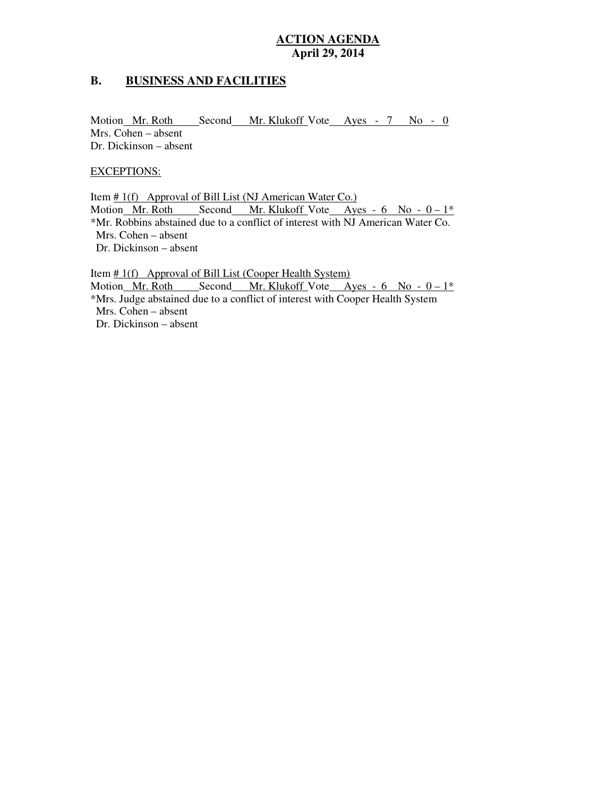#### **B. B. BUSINESS AND FACILITIES**

Motion Mr. Roth Second Mr. Klukoff Vote Ayes - 7 No - 0 Mrs. Cohen – absent Dr. Dickinson – absent

#### EXCEPTIONS:

Item  $# 1(f)$  Approval of Bill List (NJ American Water Co.) Motion Mr. Roth Second Mr. Klukoff Vote Ayes -  $6$  No -  $0-1^*$  \*Mr. Robbins abstained due to a conflict of interest with NJ American Water Co. Mrs. Cohen – absent Dr. Dickinson – absent

Item  $\# 1(f)$  Approval of Bill List (Cooper Health System) Motion Mr. Roth Second Mr. Klukoff Vote Ayes -  $6$  No -  $0-1^*$  \*Mrs. Judge abstained due to a conflict of interest with Cooper Health System Mrs. Cohen – absent Dr. Dickinson – absent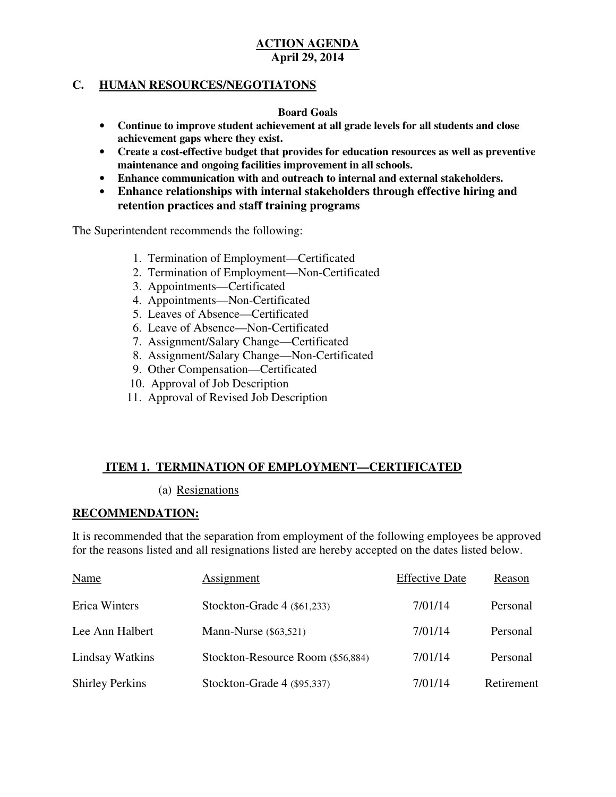#### **C. HUMAN RESOURCES/NEGOTIATONS**

#### **Board Goals**

- **Continue to improve student achievement at all grade levels for all students and close achievement gaps where they exist.**
- **Create a cost-effective budget that provides for education resources as well as preventive maintenance and ongoing facilities improvement in all schools.**
- **Enhance communication with and outreach to internal and external stakeholders.**
- **Enhance relationships with internal stakeholders through effective hiring and retention practices and staff training programs**

The Superintendent recommends the following:

- 1. Termination of Employment—Certificated
- 2. Termination of Employment—Non-Certificated
- 3. Appointments—Certificated
- 4. Appointments—Non-Certificated
- 5. Leaves of Absence—Certificated
- 6. Leave of Absence—Non-Certificated
- 7. Assignment/Salary Change—Certificated
- 8. Assignment/Salary Change—Non-Certificated
- 9. Other Compensation—Certificated
- 10. Approval of Job Description
- 11. Approval of Revised Job Description

# **ITEM 1. TERMINATION OF EMPLOYMENT—CERTIFICATED**

#### (a) Resignations

#### **RECOMMENDATION:**

 It is recommended that the separation from employment of the following employees be approved for the reasons listed and all resignations listed are hereby accepted on the dates listed below.

| <b>Name</b>            | Assignment                        | <b>Effective Date</b> | Reason     |
|------------------------|-----------------------------------|-----------------------|------------|
| Erica Winters          | Stockton-Grade $4$ (\$61,233)     | 7/01/14               | Personal   |
| Lee Ann Halbert        | <b>Mann-Nurse</b> (\$63,521)      | 7/01/14               | Personal   |
| Lindsay Watkins        | Stockton-Resource Room (\$56,884) | 7/01/14               | Personal   |
| <b>Shirley Perkins</b> | Stockton-Grade 4 (\$95,337)       | 7/01/14               | Retirement |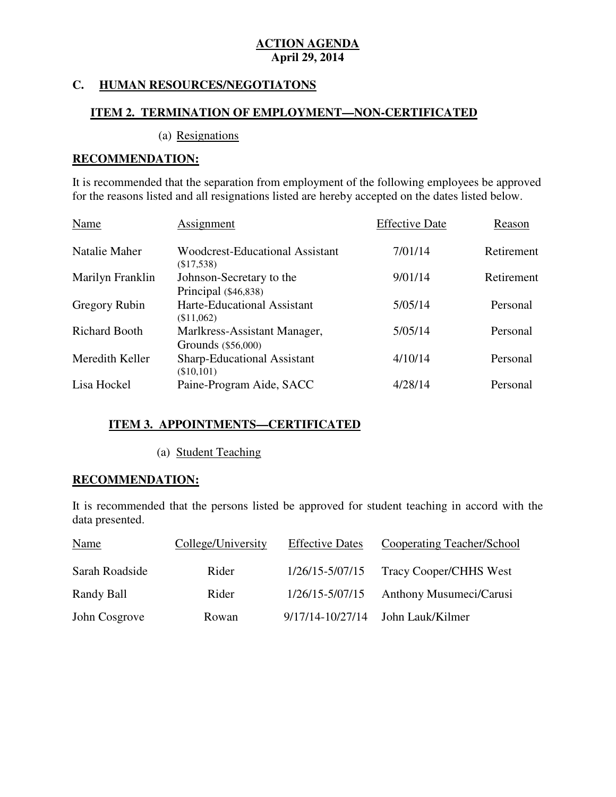### **C. HUMAN RESOURCES/NEGOTIATONS**

### **ITEM 2. TERMINATION OF EMPLOYMENT—NON-CERTIFICATED**

(a) Resignations

#### **RECOMMENDATION:**

 It is recommended that the separation from employment of the following employees be approved for the reasons listed and all resignations listed are hereby accepted on the dates listed below.

| Name                 | Assignment                                           | <b>Effective Date</b> | Reason     |
|----------------------|------------------------------------------------------|-----------------------|------------|
| Natalie Maher        | <b>Woodcrest-Educational Assistant</b><br>(\$17,538) | 7/01/14               | Retirement |
| Marilyn Franklin     | Johnson-Secretary to the<br>Principal (\$46,838)     | 9/01/14               | Retirement |
| Gregory Rubin        | Harte-Educational Assistant<br>\$11,062              | 5/05/14               | Personal   |
| <b>Richard Booth</b> | Marlkress-Assistant Manager,<br>Grounds (\$56,000)   | 5/05/14               | Personal   |
| Meredith Keller      | Sharp-Educational Assistant<br>$(\$10,101)$          | 4/10/14               | Personal   |
| Lisa Hockel          | Paine-Program Aide, SACC                             | 4/28/14               | Personal   |

# **ITEM 3. APPOINTMENTS—CERTIFICATED**

# (a) Student Teaching

# **RECOMMENDATION:**

 It is recommended that the persons listed be approved for student teaching in accord with the data presented.

| <b>Name</b>    | College/University | <b>Effective Dates</b> | Cooperating Teacher/School     |
|----------------|--------------------|------------------------|--------------------------------|
| Sarah Roadside | Rider              | 1/26/15-5/07/15        | <b>Tracy Cooper/CHHS West</b>  |
| Randy Ball     | Rider              | 1/26/15-5/07/15        | <b>Anthony Musumeci/Carusi</b> |
| John Cosgrove  | Rowan              | $9/17/14 - 10/27/14$   | John Lauk/Kilmer               |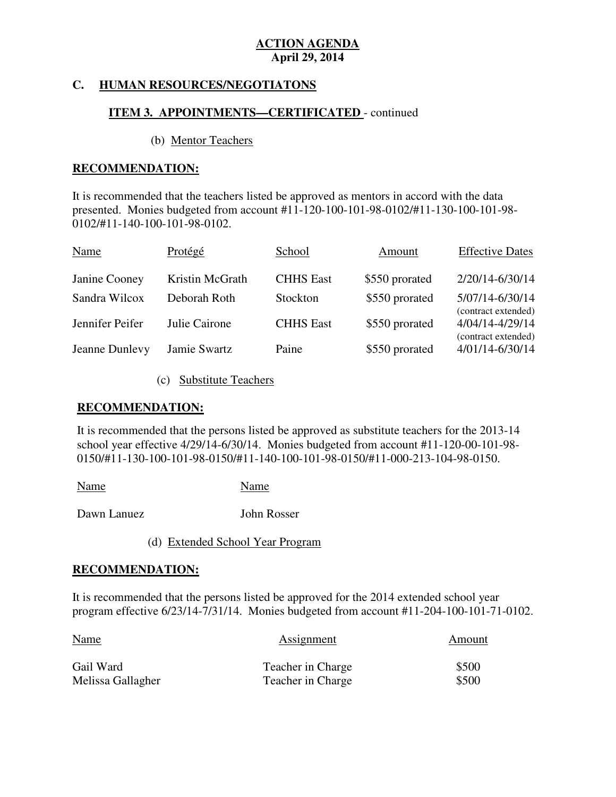#### **HUMAN RESOURCES/NEGOTIATONS**

# **ITEM 3. APPOINTMENTS—CERTIFICATED** - continued

#### (b) Mentor Teachers

#### **RECOMMENDATION:**

 It is recommended that the teachers listed be approved as mentors in accord with the data presented. Monies budgeted from account #11-120-100-101-98-0102/#11-130-100-101-98- 0102/#11-140-100-101-98-0102.

| Name            | Protégé         | School           | Amount         | <b>Effective Dates</b>                 |
|-----------------|-----------------|------------------|----------------|----------------------------------------|
| Janine Cooney   | Kristin McGrath | <b>CHHS East</b> | \$550 prorated | 2/20/14-6/30/14                        |
| Sandra Wilcox   | Deborah Roth    | Stockton         | \$550 prorated | 5/07/14-6/30/14<br>(contract extended) |
| Jennifer Peifer | Julie Cairone   | <b>CHHS East</b> | \$550 prorated | 4/04/14-4/29/14<br>(contract extended) |
| Jeanne Dunlevy  | Jamie Swartz    | Paine            | \$550 prorated | 4/01/14-6/30/14                        |

(c) Substitute Teachers

#### **RECOMMENDATION:**

 It is recommended that the persons listed be approved as substitute teachers for the 2013-14 school year effective 4/29/14-6/30/14. Monies budgeted from account #11-120-00-101-98- 0150/#11-130-100-101-98-0150/#11-140-100-101-98-0150/#11-000-213-104-98-0150.

Name Name Name

Dawn Lanuez John Rosser

(d) Extended School Year Program

# **RECOMMENDATION:**

 It is recommended that the persons listed be approved for the 2014 extended school year program effective 6/23/14-7/31/14. Monies budgeted from account #11-204-100-101-71-0102.

| <b>Name</b>       | <b>Assignment</b> | Amount |
|-------------------|-------------------|--------|
| Gail Ward         | Teacher in Charge | \$500  |
| Melissa Gallagher | Teacher in Charge | \$500  |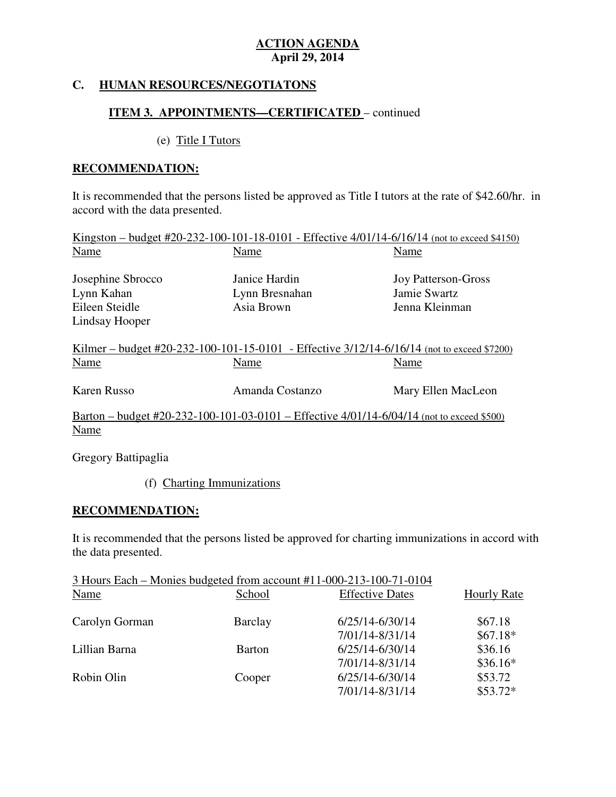#### **HUMAN RESOURCES/NEGOTIATONS**

# **ITEM 3. APPOINTMENTS—CERTIFICATED** – continued

# (e) Title I Tutors

# **RECOMMENDATION:**

 It is recommended that the persons listed be approved as Title I tutors at the rate of \$42.60/hr. in accord with the data presented.

|                   | <u>Kingston – budget #20-232-100-101-18-0101 - Effective 4/01/14-6/16/14 (not to exceed \$4150)</u> |                            |
|-------------------|-----------------------------------------------------------------------------------------------------|----------------------------|
| Name              | Name                                                                                                | Name                       |
| Josephine Sbrocco | Janice Hardin                                                                                       | <b>Joy Patterson-Gross</b> |
| Lynn Kahan        | Lynn Bresnahan                                                                                      | Jamie Swartz               |
| Eileen Steidle    | Asia Brown                                                                                          | Jenna Kleinman             |
| Lindsay Hooper    |                                                                                                     |                            |
|                   | Kilmer – budget #20-232-100-101-15-0101 - Effective $3/12/14 - 6/16/14$ (not to exceed \$7200)      |                            |
| Name              | Name                                                                                                | Name                       |
| Karen Russo       | Amanda Costanzo                                                                                     | Mary Ellen MacLeon         |
|                   | Barton – budget #20-232-100-101-03-0101 – Effective 4/01/14-6/04/14 (not to exceed \$500)           |                            |
| Name              |                                                                                                     |                            |
|                   |                                                                                                     |                            |

Gregory Battipaglia

# (f) Charting Immunizations

### **RECOMMENDATION:**

 It is recommended that the persons listed be approved for charting immunizations in accord with the data presented.

| <b>Name</b>    | School         | 3 Hours Each – Monies budgeted from account #11-000-213-100-71-0104<br><b>Effective Dates</b> | <b>Hourly Rate</b> |
|----------------|----------------|-----------------------------------------------------------------------------------------------|--------------------|
| Carolyn Gorman | <b>Barclay</b> | 6/25/14-6/30/14                                                                               | \$67.18            |
|                |                | 7/01/14-8/31/14                                                                               | $$67.18*$          |
| Lillian Barna  | <b>Barton</b>  | 6/25/14-6/30/14                                                                               | \$36.16            |
|                |                | 7/01/14-8/31/14                                                                               | $$36.16*$          |
| Robin Olin     | Cooper         | 6/25/14-6/30/14                                                                               | \$53.72            |
|                |                | 7/01/14-8/31/14                                                                               | $$53.72*$          |

#### l 3 Hours Each – Monies budgeted from account #11-000-213-100-71-0104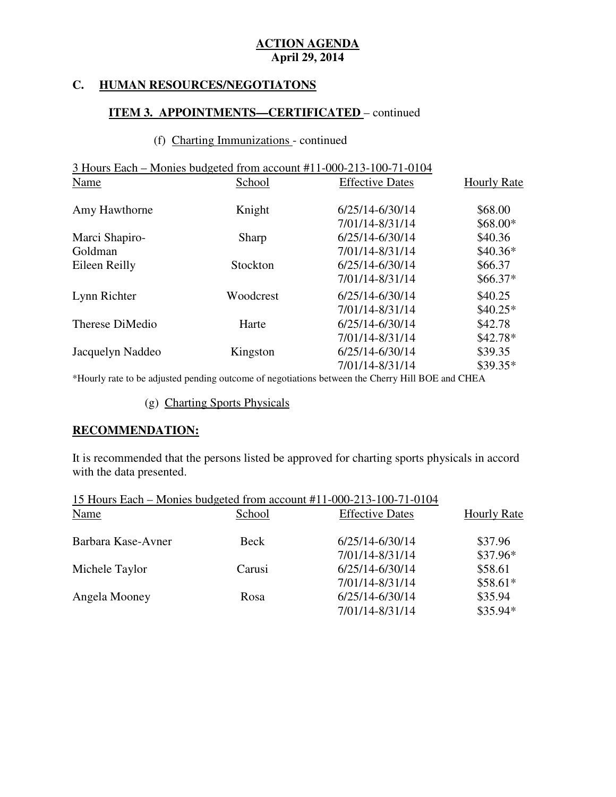#### **HUMAN RESOURCES/NEGOTIATONS**

# **ITEM 3. APPOINTMENTS—CERTIFICATED** – continued

# (f) Charting Immunizations - continued

|                  |           | 3 Hours Each – Monies budgeted from account #11-000-213-100-71-0104 |                    |
|------------------|-----------|---------------------------------------------------------------------|--------------------|
| Name             | School    | <b>Effective Dates</b>                                              | <b>Hourly Rate</b> |
| Amy Hawthorne    | Knight    | 6/25/14-6/30/14                                                     | \$68.00            |
|                  |           | 7/01/14-8/31/14                                                     | \$68.00*           |
| Marci Shapiro-   | Sharp     | 6/25/14-6/30/14                                                     | \$40.36            |
| Goldman          |           | 7/01/14-8/31/14                                                     | $$40.36*$          |
| Eileen Reilly    | Stockton  | 6/25/14-6/30/14                                                     | \$66.37            |
|                  |           | 7/01/14-8/31/14                                                     | $$66.37*$          |
| Lynn Richter     | Woodcrest | 6/25/14-6/30/14                                                     | \$40.25            |
|                  |           | 7/01/14-8/31/14                                                     | $$40.25*$          |
| Therese DiMedio  | Harte     | 6/25/14-6/30/14                                                     | \$42.78            |
|                  |           | 7/01/14-8/31/14                                                     | $$42.78*$          |
| Jacquelyn Naddeo | Kingston  | 6/25/14-6/30/14                                                     | \$39.35            |
|                  |           | 7/01/14-8/31/14                                                     | $$39.35*$          |
|                  |           |                                                                     |                    |

\*Hourly rate to be adjusted pending outcome of negotiations between the Cherry Hill BOE and CHEA

#### (g) Charting Sports Physicals

#### **RECOMMENDATION:**

 It is recommended that the persons listed be approved for charting sports physicals in accord with the data presented.

|                    |             | 15 Hours Each – Monies budgeted from account #11-000-213-100-71-0104 |                    |
|--------------------|-------------|----------------------------------------------------------------------|--------------------|
| <b>Name</b>        | School      | <b>Effective Dates</b>                                               | <b>Hourly Rate</b> |
| Barbara Kase-Avner | <b>Beck</b> | 6/25/14-6/30/14                                                      | \$37.96            |
|                    |             | 7/01/14-8/31/14                                                      | $$37.96*$          |
| Michele Taylor     | Carusi      | 6/25/14-6/30/14                                                      | \$58.61            |
|                    |             | 7/01/14-8/31/14                                                      | $$58.61*$          |
| Angela Mooney      | Rosa        | 6/25/14-6/30/14                                                      | \$35.94            |
|                    |             | 7/01/14-8/31/14                                                      | $$35.94*$          |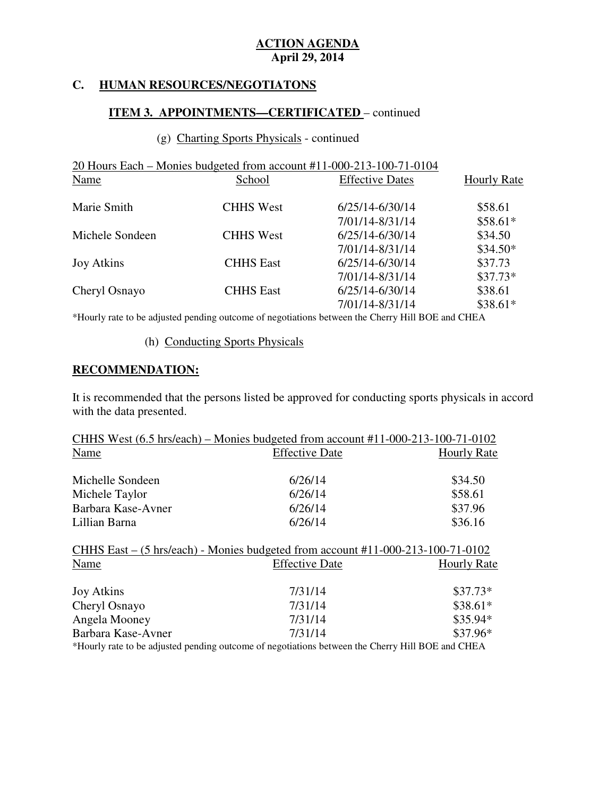#### **HUMAN RESOURCES/NEGOTIATONS**

# **ITEM 3. APPOINTMENTS—CERTIFICATED** – continued

#### (g) Charting Sports Physicals - continued

|                   |                  | 20 Hours Each – Monies budgeted from account #11-000-213-100-71-0104 |                    |
|-------------------|------------------|----------------------------------------------------------------------|--------------------|
| Name              | School           | <b>Effective Dates</b>                                               | <b>Hourly Rate</b> |
| Marie Smith       | <b>CHHS West</b> | 6/25/14-6/30/14                                                      | \$58.61            |
|                   |                  | 7/01/14-8/31/14                                                      | $$58.61*$          |
| Michele Sondeen   | <b>CHHS West</b> | 6/25/14-6/30/14                                                      | \$34.50            |
|                   |                  | 7/01/14-8/31/14                                                      | $$34.50*$          |
| <b>Joy Atkins</b> | <b>CHHS East</b> | 6/25/14-6/30/14                                                      | \$37.73            |
|                   |                  | 7/01/14-8/31/14                                                      | $$37.73*$          |
| Cheryl Osnayo     | <b>CHHS East</b> | 6/25/14-6/30/14                                                      | \$38.61            |
|                   |                  | 7/01/14-8/31/14                                                      | $$38.61*$          |

\*Hourly rate to be adjusted pending outcome of negotiations between the Cherry Hill BOE and CHEA

### (h) Conducting Sports Physicals

#### **RECOMMENDATION:**

 It is recommended that the persons listed be approved for conducting sports physicals in accord with the data presented.

| CHHS West $(6.5 \text{ hrs}/each)$ – Monies budgeted from account #11-000-213-100-71-0102                                                |                                                                                                  |                    |  |  |
|------------------------------------------------------------------------------------------------------------------------------------------|--------------------------------------------------------------------------------------------------|--------------------|--|--|
| Name                                                                                                                                     | <b>Effective Date</b>                                                                            | <b>Hourly Rate</b> |  |  |
|                                                                                                                                          |                                                                                                  |                    |  |  |
| Michelle Sondeen                                                                                                                         | 6/26/14                                                                                          | \$34.50            |  |  |
| Michele Taylor                                                                                                                           | 6/26/14                                                                                          | \$58.61            |  |  |
| Barbara Kase-Avner                                                                                                                       | 6/26/14                                                                                          | \$37.96            |  |  |
| Lillian Barna                                                                                                                            | 6/26/14                                                                                          | \$36.16            |  |  |
| CHHS East $-$ (5 hrs/each) - Monies budgeted from account #11-000-213-100-71-0102<br><b>Effective Date</b><br>Name<br><b>Hourly Rate</b> |                                                                                                  |                    |  |  |
| <b>Joy Atkins</b>                                                                                                                        | 7/31/14                                                                                          | $$37.73*$          |  |  |
| Cheryl Osnayo                                                                                                                            | 7/31/14                                                                                          | $$38.61*$          |  |  |
| Angela Mooney                                                                                                                            | 7/31/14                                                                                          | \$35.94*           |  |  |
| Barbara Kase-Avner                                                                                                                       | 7/31/14                                                                                          | $$37.96*$          |  |  |
|                                                                                                                                          | *Hourly rate to be edivered pending outcome of pegotiations between the Cherry Hill DOE and CHEA |                    |  |  |

\*Hourly rate to be adjusted pending outcome of negotiations between the Cherry Hill BOE and CHEA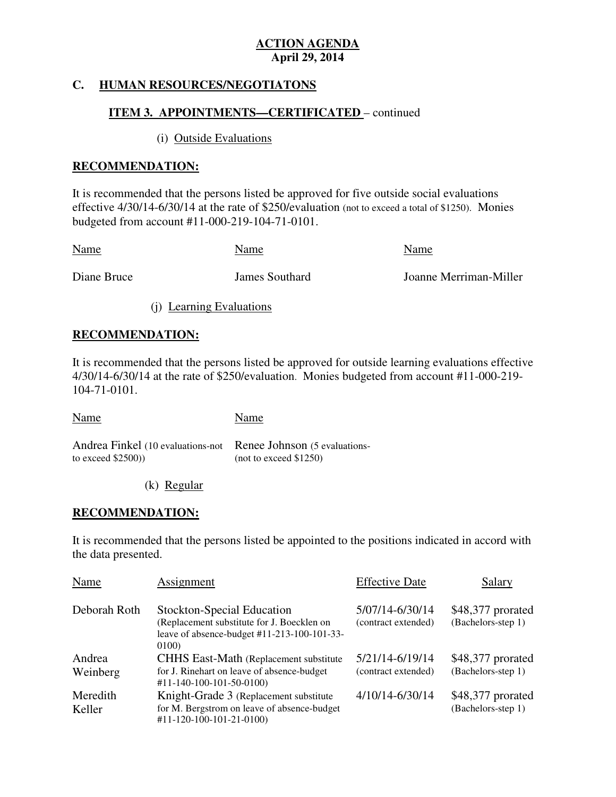#### **HUMAN RESOURCES/NEGOTIATONS**

# **ITEM 3. APPOINTMENTS—CERTIFICATED** – continued

#### (i) Outside Evaluations

### **RECOMMENDATION:**

 It is recommended that the persons listed be approved for five outside social evaluations effective 4/30/14-6/30/14 at the rate of \$250/evaluation (not to exceed a total of \$1250). Monies budgeted from account #11-000-219-104-71-0101.

| <b>Name</b> | Name           | Name                   |
|-------------|----------------|------------------------|
| Diane Bruce | James Southard | Joanne Merriman-Miller |

(j) Learning Evaluations

### **RECOMMENDATION:**

 It is recommended that the persons listed be approved for outside learning evaluations effective 4/30/14-6/30/14 at the rate of \$250/evaluation. Monies budgeted from account #11-000-219- 104-71-0101.

Name Name

 Andrea Finkel (10 evaluations-not Renee Johnson (5 evaluationsto exceed  $$2500)$ ) to exceed  $$2500)$  (not to exceed  $$1250)$ 

(k) Regular

#### **RECOMMENDATION:**

 It is recommended that the persons listed be appointed to the positions indicated in accord with the data presented.

| Name         | Assignment                                                                                                                       | <b>Effective Date</b>                  | Salary                                  |
|--------------|----------------------------------------------------------------------------------------------------------------------------------|----------------------------------------|-----------------------------------------|
| Deborah Roth | Stockton-Special Education<br>(Replacement substitute for J. Boecklen on<br>leave of absence-budget #11-213-100-101-33-<br>0100) | 5/07/14-6/30/14<br>(contract extended) | \$48,377 prorated<br>(Bachelors-step 1) |
| Andrea       | <b>CHHS East-Math (Replacement substitute)</b>                                                                                   | 5/21/14-6/19/14                        | \$48,377 prorated                       |
| Weinberg     | for J. Rinehart on leave of absence-budget<br>$\#11 - 140 - 100 - 101 - 50 - 0100$                                               | (contract extended)                    | (Bachelors-step 1)                      |
| Meredith     | Knight-Grade 3 (Replacement substitute                                                                                           | 4/10/14-6/30/14                        | \$48,377 prorated                       |
| Keller       | for M. Bergstrom on leave of absence-budget<br>$\#11 - 120 - 100 - 101 - 21 - 0100$                                              |                                        | (Bachelors-step 1)                      |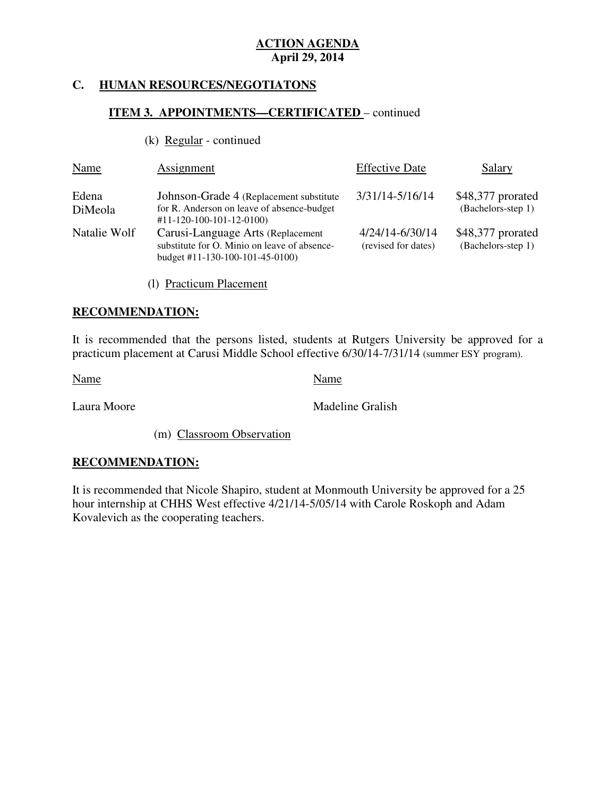#### **HUMAN RESOURCES/NEGOTIATONS**

### **ITEM 3. APPOINTMENTS—CERTIFICATED** – continued

 $(k)$  Regular - continued

| <b>Name</b>      | <b>Assignment</b>                                                                                                              | <b>Effective Date</b>                  | <b>Salary</b>                           |
|------------------|--------------------------------------------------------------------------------------------------------------------------------|----------------------------------------|-----------------------------------------|
| Edena<br>DiMeola | Johnson-Grade 4 (Replacement substitute)<br>for R. Anderson on leave of absence-budget<br>$\#11 - 120 - 100 - 101 - 12 - 0100$ | 3/31/14-5/16/14                        | \$48,377 prorated<br>(Bachelors-step 1) |
| Natalie Wolf     | Carusi-Language Arts (Replacement<br>substitute for O. Minio on leave of absence-<br>budget #11-130-100-101-45-0100)           | 4/24/14-6/30/14<br>(revised for dates) | \$48,377 prorated<br>(Bachelors-step 1) |

(l) Practicum Placement

#### **RECOMMENDATION:**

 It is recommended that the persons listed, students at Rutgers University be approved for a practicum placement at Carusi Middle School effective 6/30/14-7/31/14 (summer ESY program).

Name Name Name

Laura Moore

Madeline Gralish

(m) Classroom Observation

#### **RECOMMENDATION:**

 It is recommended that Nicole Shapiro, student at Monmouth University be approved for a 25 hour internship at CHHS West effective 4/21/14-5/05/14 with Carole Roskoph and Adam Kovalevich as the cooperating teachers.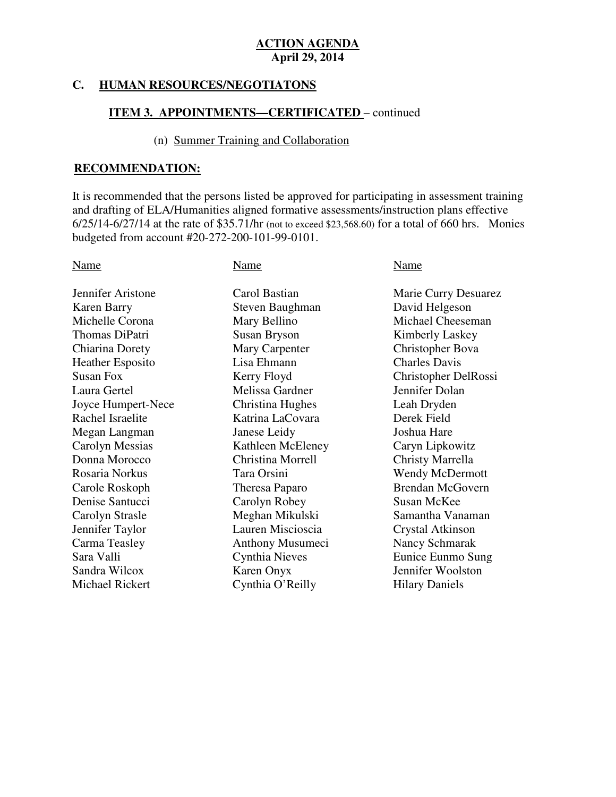#### **HUMAN RESOURCES/NEGOTIATONS**

### **ITEM 3. APPOINTMENTS—CERTIFICATED** – continued

#### (n) Summer Training and Collaboration

#### **RECOMMENDATION:**

 It is recommended that the persons listed be approved for participating in assessment training and drafting of ELA/Humanities aligned formative assessments/instruction plans effective 6/25/14-6/27/14 at the rate of \$35.71/hr (not to exceed \$23,568.60) for a total of 660 hrs. Monies budgeted from account #20-272-200-101-99-0101.

#### Name Name Name Name Name

Jennifer Aristone **Karen Barry** Michelle Corona Thomas DiPatri Chiarina Dorety Heather Esposito Lisa Ehmann Charles Davis **Susan Fox** Laura Gertel Rachel Israelite Megan Langman Janese Leidy Joshua Hare **Carolyn Messias** Donna Morocco Rosaria Norkus Carole Roskoph Denise Santucci Carolyn Strasle Jennifer Taylor Carma Teasley Sara Valli Sandra Wilcox Michael Rickert Joyce Humpert-Nece Christina Hughes Leah Dryden

Christina Hughes Steven Baughman David Helgeson Susan Bryson Kimberly Laskey Mary Carpenter Christopher Bova Melissa Gardner **Jennifer Dolan** Katrina LaCovara **Derek Field** Kathleen McEleney Caryn Lipkowitz Donna Morocco Christina Morrell Christy Marrella Carolyn Robey Susan McKee<br>
Meghan Mikulski Samantha Van Lauren Miscioscia Crystal Atkinson Anthony Musumeci Nancy Schmarak Karen Onyx Jennifer Woolston

Carol Bastian Marie Curry Desuarez Mary Bellino Michael Cheeseman Kerry Floyd Christopher DelRossi Tara Orsini Wendy McDermott Theresa Paparo Brendan McGovern Samantha Vanaman Cynthia Nieves Eunice Eunmo Sung Cynthia O'Reilly Hilary Daniels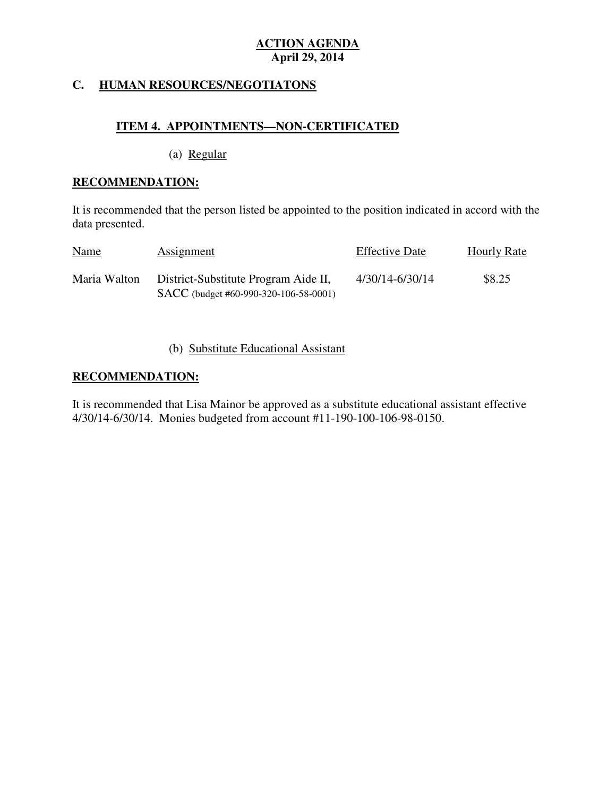#### **HUMAN RESOURCES/NEGOTIATONS**

### **ITEM 4. APPOINTMENTS—NON-CERTIFICATED**

(a) Regular

#### **RECOMMENDATION:**

 It is recommended that the person listed be appointed to the position indicated in accord with the data presented.

| <b>Name</b>  | <b>Assignment</b>                                                             | <b>Effective Date</b> | <b>Hourly Rate</b> |
|--------------|-------------------------------------------------------------------------------|-----------------------|--------------------|
| Maria Walton | District-Substitute Program Aide II,<br>SACC (budget #60-990-320-106-58-0001) | 4/30/14-6/30/14       | \$8.25             |

#### (b) Substitute Educational Assistant

### **RECOMMENDATION:**

 It is recommended that Lisa Mainor be approved as a substitute educational assistant effective 4/30/14-6/30/14. Monies budgeted from account #11-190-100-106-98-0150.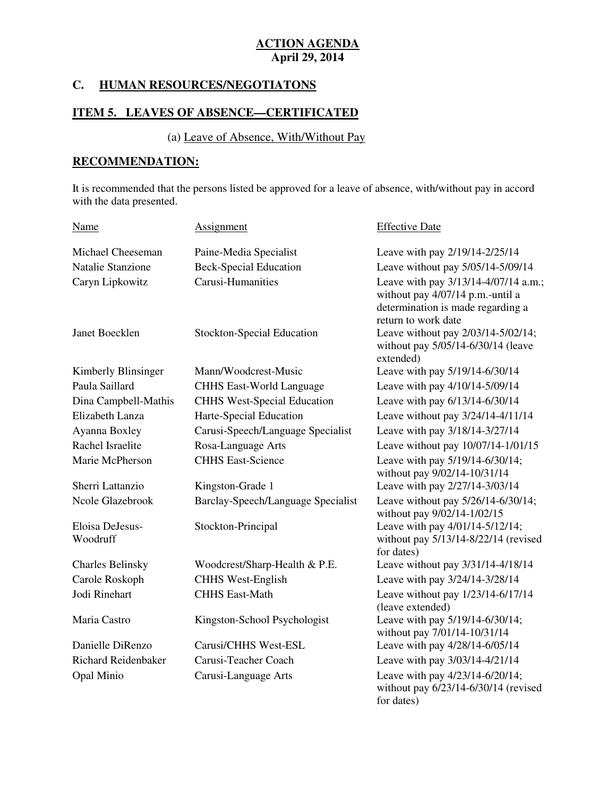#### **HUMAN RESOURCES/NEGOTIATONS**

### **ITEM 5. LEAVES OF ABSENCE—CERTIFICATED**

#### (a) Leave of Absence, With/Without Pay

# **RECOMMENDATION:**

 It is recommended that the persons listed be approved for a leave of absence, with/without pay in accord with the data presented.

| Name                        | Assignment                         | <b>Effective Date</b>                                                                                                                |
|-----------------------------|------------------------------------|--------------------------------------------------------------------------------------------------------------------------------------|
| Michael Cheeseman           | Paine-Media Specialist             | Leave with pay 2/19/14-2/25/14                                                                                                       |
| <b>Natalie Stanzione</b>    | <b>Beck-Special Education</b>      | Leave without pay 5/05/14-5/09/14                                                                                                    |
| Caryn Lipkowitz             | Carusi-Humanities                  | Leave with pay 3/13/14-4/07/14 a.m.;<br>without pay 4/07/14 p.m.-until a<br>determination is made regarding a<br>return to work date |
| Janet Boecklen              | <b>Stockton-Special Education</b>  | Leave without pay 2/03/14-5/02/14;<br>without pay 5/05/14-6/30/14 (leave<br>extended)                                                |
| Kimberly Blinsinger         | Mann/Woodcrest-Music               | Leave with pay 5/19/14-6/30/14                                                                                                       |
| Paula Saillard              | <b>CHHS East-World Language</b>    | Leave with pay 4/10/14-5/09/14                                                                                                       |
| Dina Campbell-Mathis        | <b>CHHS West-Special Education</b> | Leave with pay 6/13/14-6/30/14                                                                                                       |
| Elizabeth Lanza             | Harte-Special Education            | Leave without pay 3/24/14-4/11/14                                                                                                    |
| Ayanna Boxley               | Carusi-Speech/Language Specialist  | Leave with pay 3/18/14-3/27/14                                                                                                       |
| Rachel Israelite            | Rosa-Language Arts                 | Leave without pay 10/07/14-1/01/15                                                                                                   |
| Marie McPherson             | <b>CHHS East-Science</b>           | Leave with pay 5/19/14-6/30/14;<br>without pay 9/02/14-10/31/14                                                                      |
| Sherri Lattanzio            | Kingston-Grade 1                   | Leave with pay 2/27/14-3/03/14                                                                                                       |
| Ncole Glazebrook            | Barclay-Speech/Language Specialist | Leave without pay 5/26/14-6/30/14;<br>without pay 9/02/14-1/02/15                                                                    |
| Eloisa DeJesus-<br>Woodruff | Stockton-Principal                 | Leave with pay 4/01/14-5/12/14;<br>without pay 5/13/14-8/22/14 (revised<br>for dates)                                                |
| <b>Charles Belinsky</b>     | Woodcrest/Sharp-Health & P.E.      | Leave without pay 3/31/14-4/18/14                                                                                                    |
| Carole Roskoph              | <b>CHHS West-English</b>           | Leave with pay 3/24/14-3/28/14                                                                                                       |
| Jodi Rinehart               | <b>CHHS East-Math</b>              | Leave without pay 1/23/14-6/17/14<br>(leave extended)                                                                                |
| Maria Castro                | Kingston-School Psychologist       | Leave with pay 5/19/14-6/30/14;<br>without pay 7/01/14-10/31/14                                                                      |
| Danielle DiRenzo            | Carusi/CHHS West-ESL               | Leave with pay 4/28/14-6/05/14                                                                                                       |
| <b>Richard Reidenbaker</b>  | Carusi-Teacher Coach               | Leave with pay 3/03/14-4/21/14                                                                                                       |
| Opal Minio                  | Carusi-Language Arts               | Leave with pay 4/23/14-6/20/14;<br>without pay 6/23/14-6/30/14 (revised<br>for dates)                                                |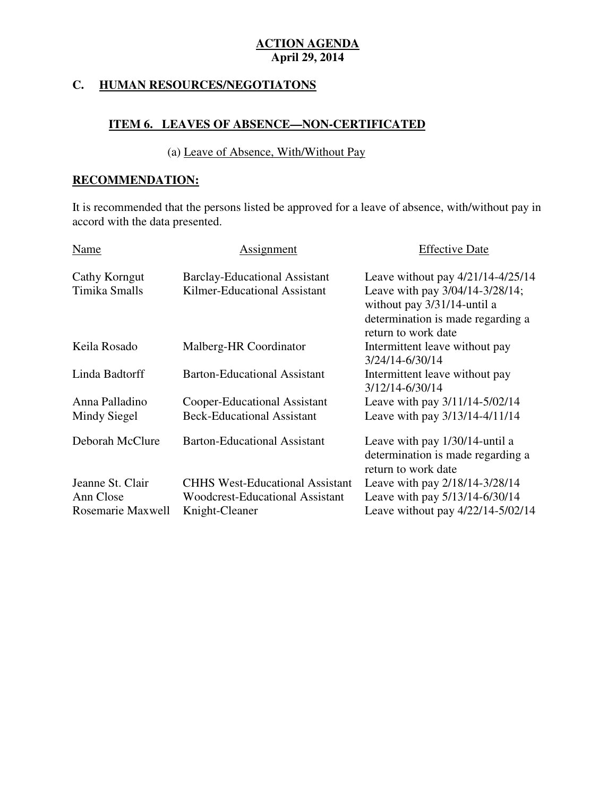#### **HUMAN RESOURCES/NEGOTIATONS**

# **ITEM 6. LEAVES OF ABSENCE—NON-CERTIFICATED**

#### (a) Leave of Absence, With/Without Pay

# **RECOMMENDATION:**

 It is recommended that the persons listed be approved for a leave of absence, with/without pay in accord with the data presented.

| Name              | Assignment                             | <b>Effective Date</b>                                          |
|-------------------|----------------------------------------|----------------------------------------------------------------|
| Cathy Korngut     | <b>Barclay-Educational Assistant</b>   | Leave without pay $4/21/14 - 4/25/14$                          |
| Timika Smalls     | Kilmer-Educational Assistant           | Leave with pay 3/04/14-3/28/14;<br>without pay 3/31/14-until a |
|                   |                                        | determination is made regarding a<br>return to work date       |
| Keila Rosado      | Malberg-HR Coordinator                 | Intermittent leave without pay                                 |
|                   |                                        | 3/24/14-6/30/14                                                |
| Linda Badtorff    | <b>Barton-Educational Assistant</b>    | Intermittent leave without pay                                 |
|                   |                                        | 3/12/14-6/30/14                                                |
| Anna Palladino    | Cooper-Educational Assistant           | Leave with pay 3/11/14-5/02/14                                 |
| Mindy Siegel      | <b>Beck-Educational Assistant</b>      | Leave with pay 3/13/14-4/11/14                                 |
| Deborah McClure   | <b>Barton-Educational Assistant</b>    | Leave with pay 1/30/14-until a                                 |
|                   |                                        | determination is made regarding a                              |
|                   |                                        | return to work date                                            |
| Jeanne St. Clair  | <b>CHHS West-Educational Assistant</b> | Leave with pay 2/18/14-3/28/14                                 |
| Ann Close         | <b>Woodcrest-Educational Assistant</b> | Leave with pay 5/13/14-6/30/14                                 |
| Rosemarie Maxwell | Knight-Cleaner                         | Leave without pay 4/22/14-5/02/14                              |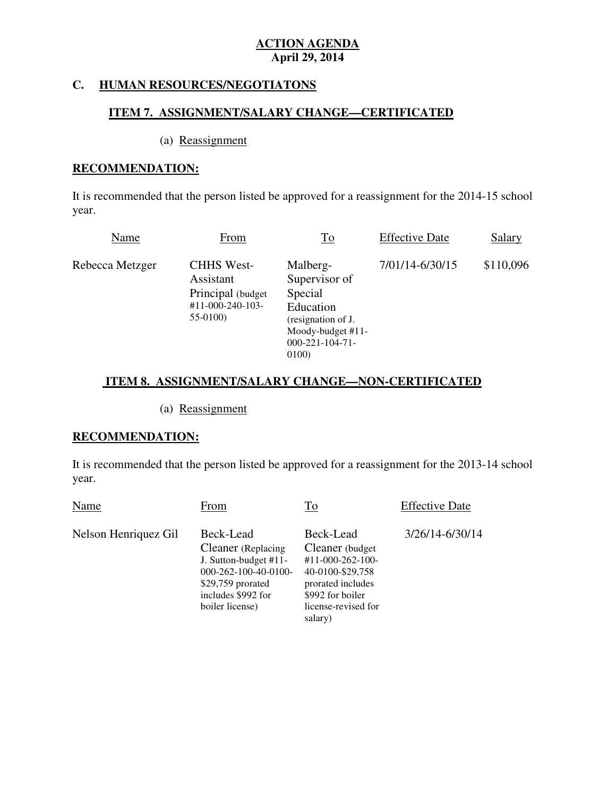#### **HUMAN RESOURCES/NEGOTIATONS**

### **ITEM 7. ASSIGNMENT/SALARY CHANGE—CERTIFICATED**

# (a) Reassignment

#### **RECOMMENDATION:**

 It is recommended that the person listed be approved for a reassignment for the 2014-15 school year.

| Name            | From                                                                                         | To                                                                                                                              | <b>Effective Date</b> | <b>Salary</b> |
|-----------------|----------------------------------------------------------------------------------------------|---------------------------------------------------------------------------------------------------------------------------------|-----------------------|---------------|
| Rebecca Metzger | <b>CHHS West-</b><br>Assistant<br>Principal (budget)<br>$\#11 - 000 - 240 - 103$<br>55-0100) | Malberg-<br>Supervisor of<br>Special<br>Education<br>(resignation of J.<br>Moody-budget #11-<br>$000 - 221 - 104 - 71$<br>0100) | 7/01/14-6/30/15       | \$110,096     |

### **ITEM 8. ASSIGNMENT/SALARY CHANGE—NON-CERTIFICATED**

(a) Reassignment

#### **RECOMMENDATION:**

 It is recommended that the person listed be approved for a reassignment for the 2013-14 school year.

| Name                 | From                                                                                                                                              | To                                                                                                                                               | <b>Effective Date</b> |
|----------------------|---------------------------------------------------------------------------------------------------------------------------------------------------|--------------------------------------------------------------------------------------------------------------------------------------------------|-----------------------|
| Nelson Henriquez Gil | Beck-Lead<br>Cleaner (Replacing)<br>J. Sutton-budget #11-<br>$000-262-100-40-0100-$<br>\$29,759 prorated<br>includes \$992 for<br>boiler license) | Beck-Lead<br>Cleaner (budget)<br>#11-000-262-100-<br>40-0100-\$29,758<br>prorated includes<br>\$992 for boiler<br>license-revised for<br>salary) | 3/26/14-6/30/14       |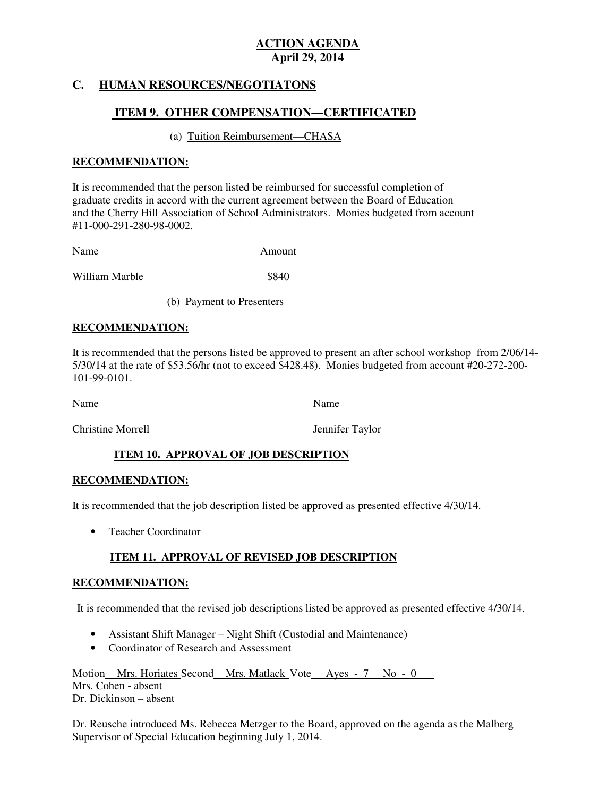#### **HUMAN RESOURCES/NEGOTIATONS**

### **ITEM 9. OTHER COMPENSATION—CERTIFICATED**

(a) Tuition Reimbursement—CHASA

#### **RECOMMENDATION:**

 It is recommended that the person listed be reimbursed for successful completion of graduate credits in accord with the current agreement between the Board of Education and the Cherry Hill Association of School Administrators. Monies budgeted from account #11-000-291-280-98-0002.

William Marble \$840 Name Amount

(b) Payment to Presenters

#### **RECOMMENDATION:**

 It is recommended that the persons listed be approved to present an after school workshop from 2/06/14- 5/30/14 at the rate of \$53.56/hr (not to exceed \$428.48). Monies budgeted from account #20-272-200- 101-99-0101.

Name Name Name

Christine Morrell

Jennifer Taylor

#### **ITEM 10. APPROVAL OF JOB DESCRIPTION**

#### **RECOMMENDATION:**

It is recommended that the job description listed be approved as presented effective 4/30/14.

• Teacher Coordinator

#### **ITEM 11. APPROVAL OF REVISED JOB DESCRIPTION**

#### **RECOMMENDATION:**

It is recommended that the revised job descriptions listed be approved as presented effective 4/30/14.

- Assistant Shift Manager Night Shift (Custodial and Maintenance)
- Coordinator of Research and Assessment

Motion Mrs. Horiates Second Mrs. Matlack Vote Ayes - 7 No - 0 Mrs. Cohen - absent Dr. Dickinson – absent

 Dr. Reusche introduced Ms. Rebecca Metzger to the Board, approved on the agenda as the Malberg Supervisor of Special Education beginning July 1, 2014.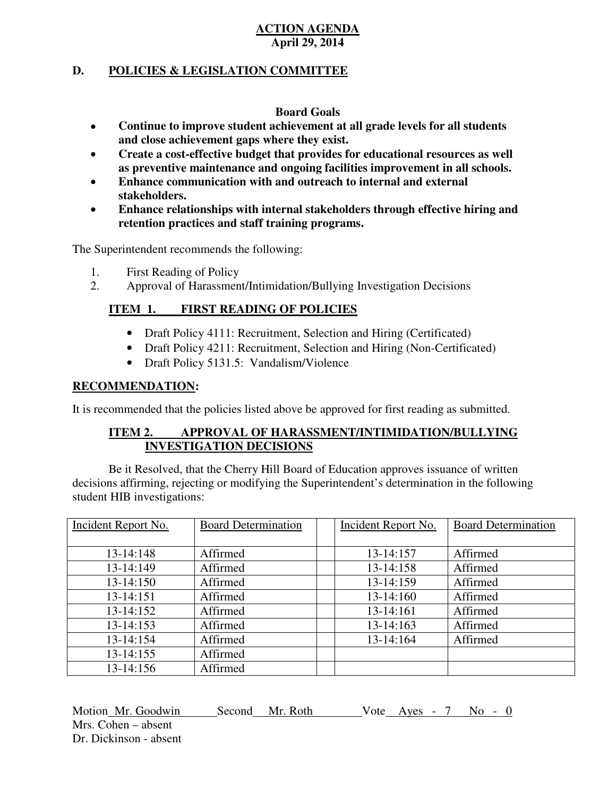### **D. POLICIES & LEGISLATION COMMITTEE**

#### **Board Goals**

- **Continue to improve student achievement at all grade levels for all students and close achievement gaps where they exist.**
- **Create a cost-effective budget that provides for educational resources as well as preventive maintenance and ongoing facilities improvement in all schools.**
- **Enhance communication with and outreach to internal and external stakeholders.**
- **Enhance relationships with internal stakeholders through effective hiring and retention practices and staff training programs.**

The Superintendent recommends the following:

- 1. First Reading of Policy
- 2. Approval of Harassment/Intimidation/Bullying Investigation Decisions

#### **ITEM 1. FIRST READING OF POLICIES**

- Draft Policy 4111: Recruitment, Selection and Hiring (Certificated)
- Draft Policy 4211: Recruitment, Selection and Hiring (Non-Certificated)
- Draft Policy 5131.5: Vandalism/Violence

#### **RECOMMENDATION:**

It is recommended that the policies listed above be approved for first reading as submitted.

#### **ITEM 2. APPROVAL OF HARASSMENT/INTIMIDATION/BULLYING INVESTIGATION DECISIONS**

 decisions affirming, rejecting or modifying the Superintendent's determination in the following student HIB investigations: Be it Resolved, that the Cherry Hill Board of Education approves issuance of written

| Incident Report No. | <b>Board Determination</b> | Incident Report No. | <b>Board Determination</b> |
|---------------------|----------------------------|---------------------|----------------------------|
|                     |                            |                     |                            |
| 13-14:148           | Affirmed                   | 13-14:157           | Affirmed                   |
| 13-14:149           | Affirmed                   | 13-14:158           | Affirmed                   |
| $13-14:150$         | Affirmed                   | 13-14:159           | Affirmed                   |
| 13-14:151           | Affirmed                   | 13-14:160           | Affirmed                   |
| $13-14:152$         | Affirmed                   | 13-14:161           | Affirmed                   |
| $13-14:153$         | Affirmed                   | $13-14:163$         | Affirmed                   |
| 13-14:154           | Affirmed                   | 13-14:164           | Affirmed                   |
| $13-14:155$         | Affirmed                   |                     |                            |
| 13-14:156           | Affirmed                   |                     |                            |

| Motion Mr. Goodwin     | Second Mr. Roth |  | Vote Ayes - $7 \text{ No } -0$ |
|------------------------|-----------------|--|--------------------------------|
| Mrs. Cohen – absent    |                 |  |                                |
| Dr. Dickinson - absent |                 |  |                                |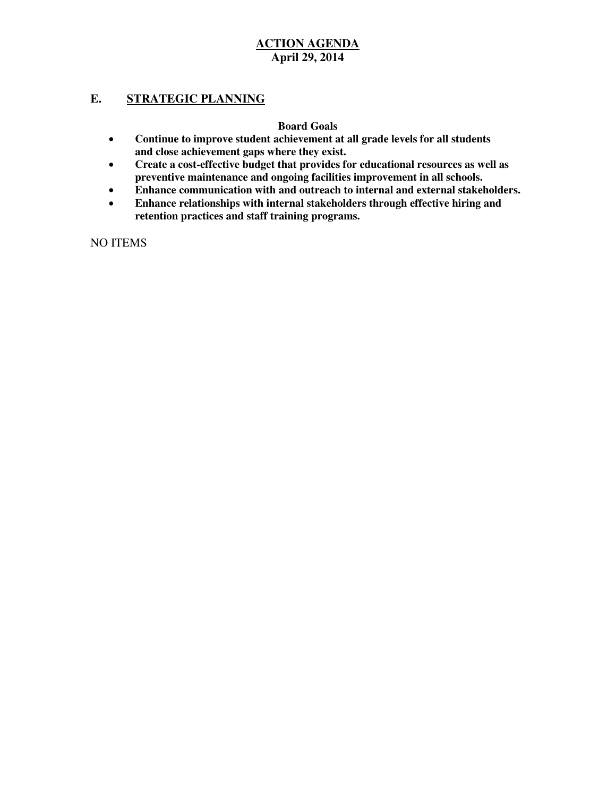### **E. STRATEGIC PLANNING**

#### **Board Goals**

- **Continue to improve student achievement at all grade levels for all students and close achievement gaps where they exist.**
- **Create a cost-effective budget that provides for educational resources as well as preventive maintenance and ongoing facilities improvement in all schools.**
- **Enhance communication with and outreach to internal and external stakeholders.**
- **Enhance relationships with internal stakeholders through effective hiring and retention practices and staff training programs.**

NO ITEMS